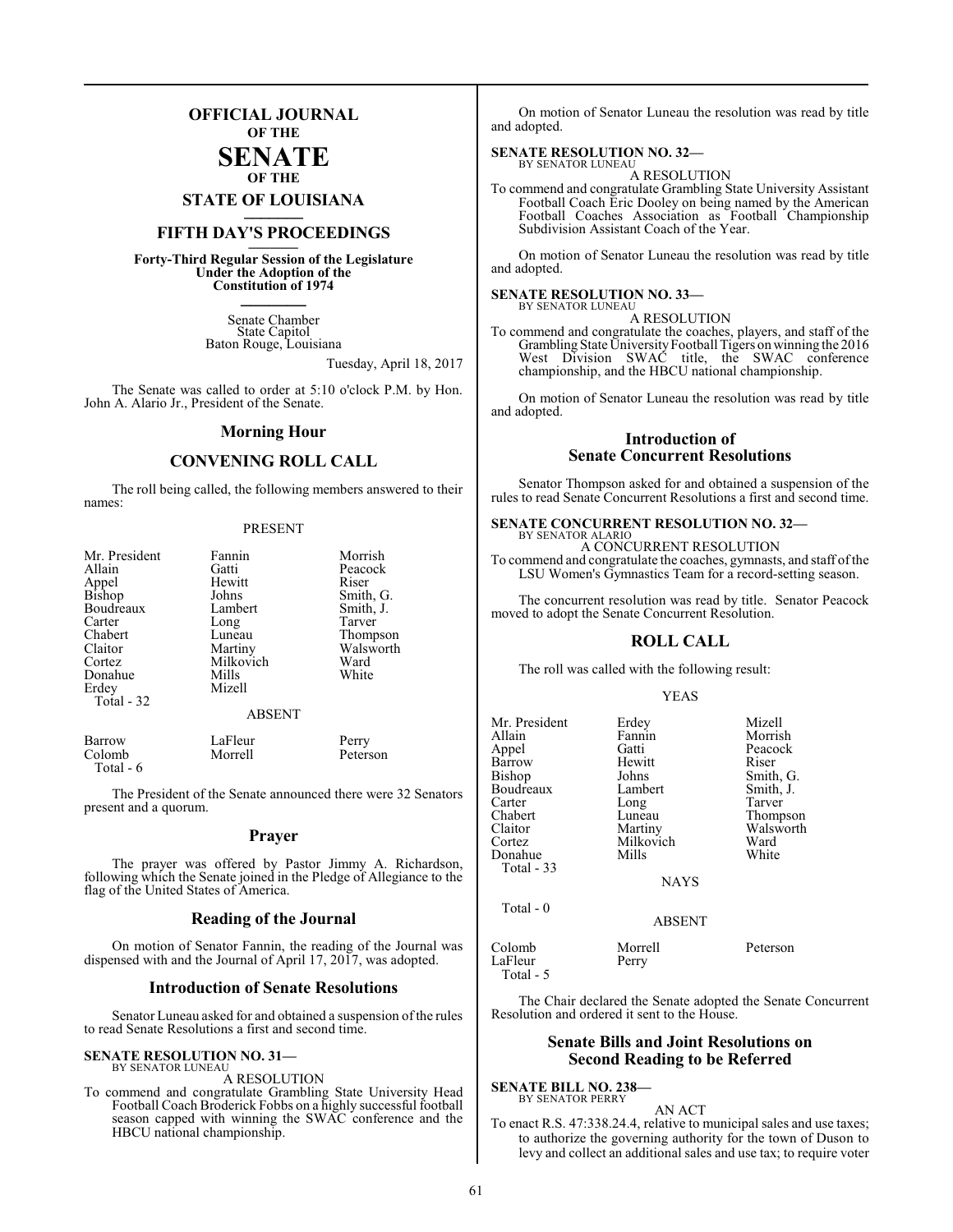### **OFFICIAL JOURNAL OF THE**

### **SENATE OF THE**

**STATE OF LOUISIANA \_\_\_\_\_\_\_**

### **FIFTH DAY'S PROCEEDINGS \_\_\_\_\_\_\_**

**Forty-Third Regular Session of the Legislature Under the Adoption of the Constitution of 1974 \_\_\_\_\_\_\_**

> Senate Chamber State Capitol Baton Rouge, Louisiana

> > Tuesday, April 18, 2017

The Senate was called to order at 5:10 o'clock P.M. by Hon. John A. Alario Jr., President of the Senate.

### **Morning Hour**

### **CONVENING ROLL CALL**

The roll being called, the following members answered to their names:

### PRESENT

| Mr. President   | Fannin        | Morrish   |
|-----------------|---------------|-----------|
| Allain          | Gatti         | Peacock   |
|                 | Hewitt        | Riser     |
| Appel<br>Bishop | Johns         | Smith, G. |
| Boudreaux       | Lambert       | Smith, J. |
| Carter          | Long          | Tarver    |
| Chabert         | Luneau        | Thompson  |
| Claitor         | Martiny       | Walsworth |
| Cortez          | Milkovich     | Ward      |
| Donahue         | Mills         | White     |
| Erdey           | Mizell        |           |
| Total - 32      |               |           |
|                 | <b>ABSENT</b> |           |

| Barrow     | LaFleur | Perry    |
|------------|---------|----------|
| Colomb     | Morrell | Peterson |
| Total $-6$ |         |          |

The President of the Senate announced there were 32 Senators present and a quorum.

### **Prayer**

The prayer was offered by Pastor Jimmy A. Richardson, following which the Senate joined in the Pledge of Allegiance to the flag of the United States of America.

### **Reading of the Journal**

On motion of Senator Fannin, the reading of the Journal was dispensed with and the Journal of April 17, 2017, was adopted.

### **Introduction of Senate Resolutions**

Senator Luneau asked for and obtained a suspension of the rules to read Senate Resolutions a first and second time.

### **SENATE RESOLUTION NO. 31—** BY SENATOR LUNEAU

A RESOLUTION

To commend and congratulate Grambling State University Head Football Coach Broderick Fobbs on a highly successful football season capped with winning the SWAC conference and the HBCU national championship.

On motion of Senator Luneau the resolution was read by title and adopted.

### **SENATE RESOLUTION NO. 32—** BY SENATOR LUNEAU

A RESOLUTION

To commend and congratulate Grambling State University Assistant Football Coach Eric Dooley on being named by the American Football Coaches Association as Football Championship Subdivision Assistant Coach of the Year.

On motion of Senator Luneau the resolution was read by title and adopted.

### **SENATE RESOLUTION NO. 33—**

BY SENATOR LUNEAU A RESOLUTION

To commend and congratulate the coaches, players, and staff of the Grambling State UniversityFootball Tigers on winning the 2016 West Division SWAC title, the SWAC conference championship, and the HBCU national championship.

On motion of Senator Luneau the resolution was read by title and adopted.

### **Introduction of Senate Concurrent Resolutions**

Senator Thompson asked for and obtained a suspension of the rules to read Senate Concurrent Resolutions a first and second time.

#### **SENATE CONCURRENT RESOLUTION NO. 32—** BY SENATOR ALARIO

A CONCURRENT RESOLUTION To commend and congratulate the coaches, gymnasts, and staff ofthe LSU Women's Gymnastics Team for a record-setting season.

The concurrent resolution was read by title. Senator Peacock moved to adopt the Senate Concurrent Resolution.

### **ROLL CALL**

The roll was called with the following result:

### YEAS

| Mr. President<br>Allain<br>Appel<br>Barrow<br>Bishop<br>Boudreaux<br>Carter<br>Chabert<br>Claitor<br>Cortez<br>Donahue<br><b>Total - 33</b> | Erdey<br>Fannin<br>Gatti<br>Hewitt<br>Johns<br>Lambert<br>Long<br>Luneau<br>Martiny<br>Milkovich<br>Mills<br><b>NAYS</b> | Mizell<br>Morrish<br>Peacock<br>Riser<br>Smith, G.<br>Smith, J.<br>Tarver<br>Thompson<br>Walsworth<br>Ward<br>White |
|---------------------------------------------------------------------------------------------------------------------------------------------|--------------------------------------------------------------------------------------------------------------------------|---------------------------------------------------------------------------------------------------------------------|
| Total $-0$                                                                                                                                  | <b>ABSENT</b>                                                                                                            |                                                                                                                     |
| Colomb<br>LaFleur                                                                                                                           | Morrell<br>Perry                                                                                                         | Peterson                                                                                                            |

Total - 5

The Chair declared the Senate adopted the Senate Concurrent Resolution and ordered it sent to the House.

### **Senate Bills and Joint Resolutions on Second Reading to be Referred**

**SENATE BILL NO. 238—** BY SENATOR PERRY

AN ACT

To enact R.S. 47:338.24.4, relative to municipal sales and use taxes; to authorize the governing authority for the town of Duson to levy and collect an additional sales and use tax; to require voter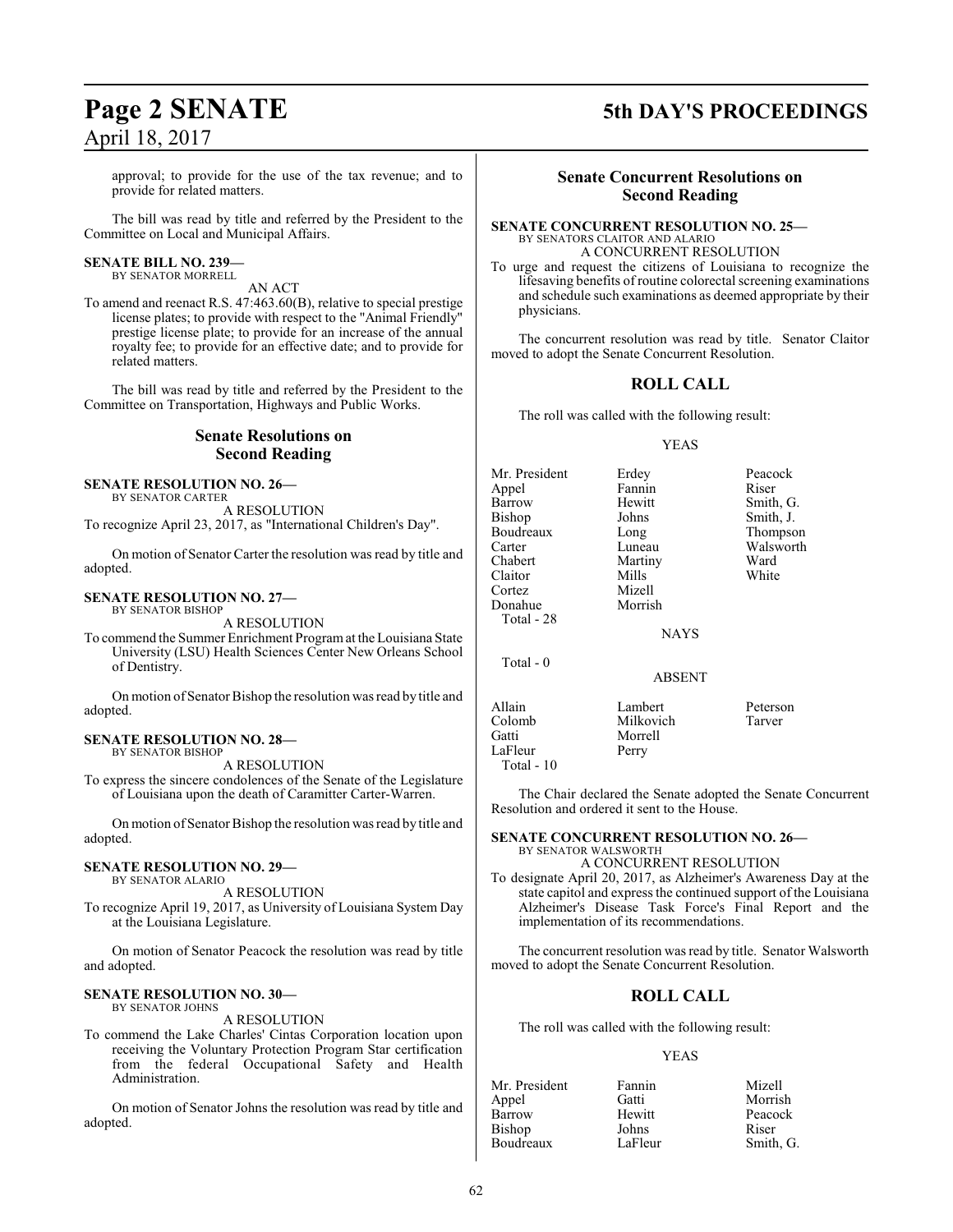approval; to provide for the use of the tax revenue; and to provide for related matters.

The bill was read by title and referred by the President to the Committee on Local and Municipal Affairs.

### **SENATE BILL NO. 239—** BY SENATOR MORRELL

AN ACT

To amend and reenact R.S. 47:463.60(B), relative to special prestige license plates; to provide with respect to the "Animal Friendly" prestige license plate; to provide for an increase of the annual royalty fee; to provide for an effective date; and to provide for related matters.

The bill was read by title and referred by the President to the Committee on Transportation, Highways and Public Works.

### **Senate Resolutions on Second Reading**

### **SENATE RESOLUTION NO. 26—**

BY SENATOR CARTER A RESOLUTION

To recognize April 23, 2017, as "International Children's Day".

On motion of Senator Carter the resolution was read by title and adopted.

### **SENATE RESOLUTION NO. 27—**

BY SENATOR BISHOP A RESOLUTION

To commend the Summer Enrichment Programat the Louisiana State University (LSU) Health Sciences Center New Orleans School of Dentistry.

On motion of Senator Bishop the resolution was read by title and adopted.

### **SENATE RESOLUTION NO. 28—** BY SENATOR BISHOP

A RESOLUTION

To express the sincere condolences of the Senate of the Legislature of Louisiana upon the death of Caramitter Carter-Warren.

On motion of Senator Bishop the resolution was read by title and adopted.

### **SENATE RESOLUTION NO. 29—**

BY SENATOR ALARIO

A RESOLUTION To recognize April 19, 2017, as University of Louisiana System Day at the Louisiana Legislature.

On motion of Senator Peacock the resolution was read by title and adopted.

### **SENATE RESOLUTION NO. 30—** BY SENATOR JOHNS

A RESOLUTION

To commend the Lake Charles' Cintas Corporation location upon receiving the Voluntary Protection Program Star certification from the federal Occupational Safety and Health Administration.

On motion of Senator Johns the resolution was read by title and adopted.

### **Page 2 SENATE 5th DAY'S PROCEEDINGS**

### **Senate Concurrent Resolutions on Second Reading**

**SENATE CONCURRENT RESOLUTION NO. 25—** BY SENATORS CLAITOR AND ALARIO A CONCURRENT RESOLUTION

To urge and request the citizens of Louisiana to recognize the lifesaving benefits of routine colorectal screening examinations and schedule such examinations as deemed appropriate by their physicians.

The concurrent resolution was read by title. Senator Claitor moved to adopt the Senate Concurrent Resolution.

### **ROLL CALL**

The roll was called with the following result:

### YEAS

Mr. President Erdey Peacock Appel Fannin Riser<br>Barrow Hewitt Smith Bishop Johns Smith, J.<br>Boudreaux Long Thompso Boudreaux Long Thompson<br>Carter Luneau Walsworth Example 2013<br>
Chabert Martiny Ward<br>
Martiny Ward Claitor Mills<br>Cortez Mizell Cortez Mizell Donahue Total - 28

Smith, G. Martiny Ward<br>
Mills White

**NAYS** 

### ABSENT

Allain Lambert Peterson Colomb Milkovich Tarver LaFleur Total - 10

Total - 0

The Chair declared the Senate adopted the Senate Concurrent Resolution and ordered it sent to the House.

### **SENATE CONCURRENT RESOLUTION NO. 26—** BY SENATOR WALSWORTH

Morrell<br>Perry

A CONCURRENT RESOLUTION

To designate April 20, 2017, as Alzheimer's Awareness Day at the state capitol and express the continued support of the Louisiana Alzheimer's Disease Task Force's Final Report and the implementation of its recommendations.

The concurrent resolution was read by title. Senator Walsworth moved to adopt the Senate Concurrent Resolution.

### **ROLL CALL**

The roll was called with the following result:

### YEAS

| Mr. President | Fannin  | Mizell    |
|---------------|---------|-----------|
| Appel         | Gatti   | Morrish   |
| Barrow        | Hewitt  | Peacock   |
| Bishop        | Johns   | Riser     |
| Boudreaux     | LaFleur | Smith, G. |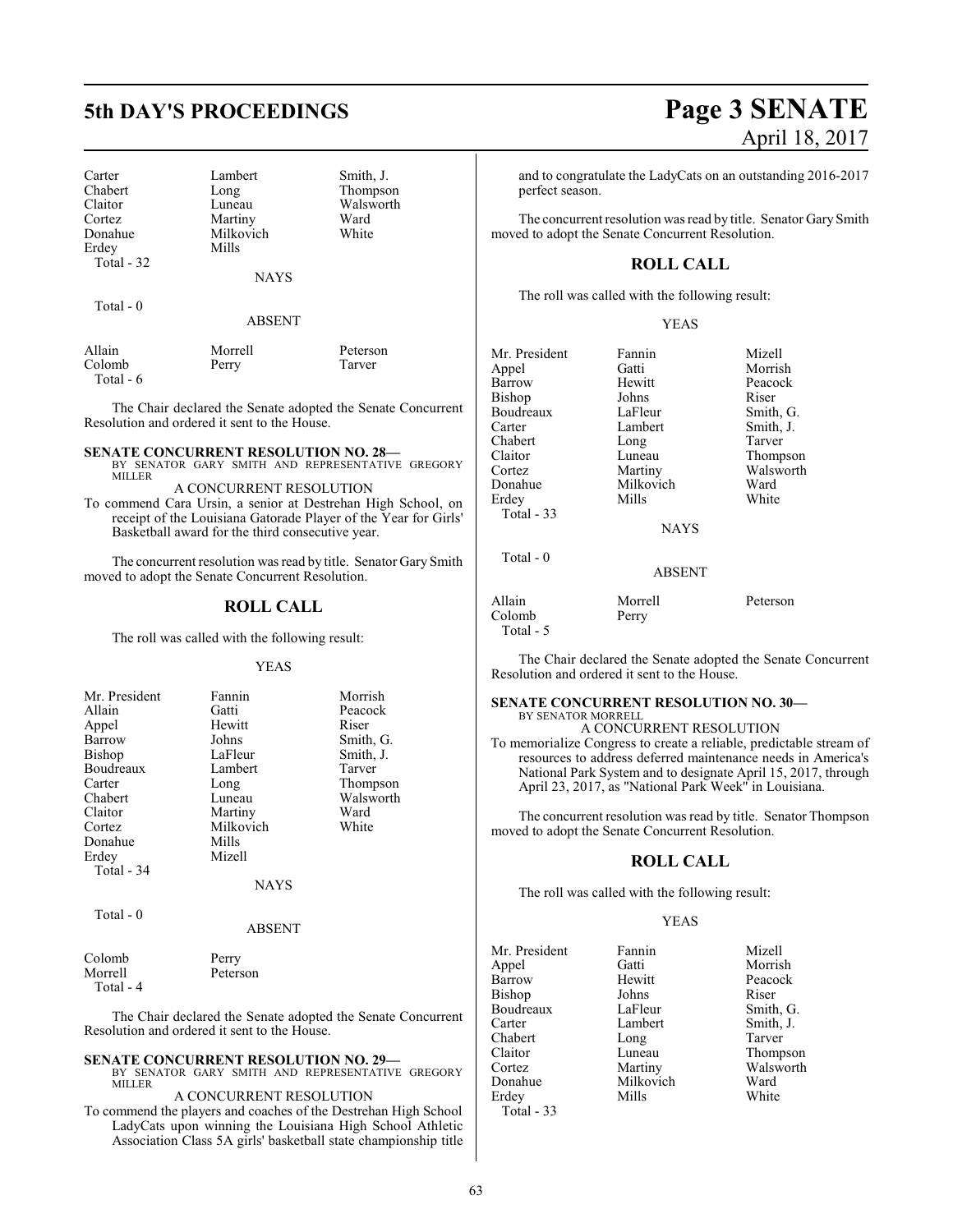Carter Lambert Smith, J.<br>
Chabert Long Thompso Chabert Long Thompson<br>Claitor Luneau Walsworth Claitor Luneau Walsworth<br>
Cortez Martiny Ward Cortez Martiny Ward<br>
Donahue Milkovich White Erdey Total - 32

Milkovich<br>Mills

NAYS

| <b>otal</b> |  |  |
|-------------|--|--|
|-------------|--|--|

ABSENT

| Allain    | Morrell | Peterson |
|-----------|---------|----------|
| Colomb    | Perry   | Tarver   |
| Total - 6 |         |          |

The Chair declared the Senate adopted the Senate Concurrent Resolution and ordered it sent to the House.

### **SENATE CONCURRENT RESOLUTION NO. 28—**

BY SENATOR GARY SMITH AND REPRESENTATIVE GREGORY MILLER A CONCURRENT RESOLUTION

To commend Cara Ursin, a senior at Destrehan High School, on receipt of the Louisiana Gatorade Player of the Year for Girls' Basketball award for the third consecutive year.

The concurrent resolution was read by title. Senator Gary Smith moved to adopt the Senate Concurrent Resolution.

### **ROLL CALL**

The roll was called with the following result:

### YEAS

| Mr. President | Fannin      | Morrish   |
|---------------|-------------|-----------|
| Allain        | Gatti       | Peacock   |
| Appel         | Hewitt      | Riser     |
| Barrow        | Johns       | Smith, G. |
| <b>Bishop</b> | LaFleur     | Smith, J. |
| Boudreaux     | Lambert     | Tarver    |
| Carter        | Long        | Thompson  |
| Chabert       | Luneau      | Walsworth |
| Claitor       | Martiny     | Ward      |
| Cortez        | Milkovich   | White     |
| Donahue       | Mills       |           |
| Erdey         | Mizell      |           |
| Total - 34    |             |           |
|               | <b>NAYS</b> |           |
| Total - 0     |             |           |

### ABSENT

| Colomb    | Perry    |  |
|-----------|----------|--|
| Morrell   | Peterson |  |
| Total - 4 |          |  |

The Chair declared the Senate adopted the Senate Concurrent Resolution and ordered it sent to the House.

### **SENATE CONCURRENT RESOLUTION NO. 29—**

BY SENATOR GARY SMITH AND REPRESENTATIVE GREGORY **MILLER** A CONCURRENT RESOLUTION

To commend the players and coaches of the Destrehan High School LadyCats upon winning the Louisiana High School Athletic Association Class 5A girls' basketball state championship title

# **5th DAY'S PROCEEDINGS Page 3 SENATE** April 18, 2017

and to congratulate the LadyCats on an outstanding 2016-2017 perfect season.

The concurrent resolution was read by title. Senator Gary Smith moved to adopt the Senate Concurrent Resolution.

### **ROLL CALL**

The roll was called with the following result:

### YEAS

| Mr. President | Fannin      | Mizell    |
|---------------|-------------|-----------|
| Appel         | Gatti       | Morrish   |
| Barrow        | Hewitt      | Peacock   |
| Bishop        | Johns       | Riser     |
| Boudreaux     | LaFleur     | Smith, G. |
| Carter        | Lambert     | Smith, J. |
| Chabert       | Long        | Tarver    |
| Claitor       | Luneau      | Thompson  |
| Cortez        | Martiny     | Walsworth |
| Donahue       | Milkovich   | Ward      |
| Erdey         | Mills       | White     |
| Total $-33$   |             |           |
|               | <b>NAYS</b> |           |
| Total - 0     |             |           |
|               | ABSENT      |           |

| Allain    | Morrell | Peterson |
|-----------|---------|----------|
| Colomb    | Perry   |          |
| Total - 5 |         |          |

The Chair declared the Senate adopted the Senate Concurrent Resolution and ordered it sent to the House.

### **SENATE CONCURRENT RESOLUTION NO. 30—** BY SENATOR MORRELL

A CONCURRENT RESOLUTION To memorialize Congress to create a reliable, predictable stream of resources to address deferred maintenance needs in America's National Park System and to designate April 15, 2017, through April 23, 2017, as "National Park Week" in Louisiana.

The concurrent resolution was read by title. Senator Thompson moved to adopt the Senate Concurrent Resolution.

### **ROLL CALL**

The roll was called with the following result:

### YEAS

Mr. President Fannin Mizell<br>Appel Gatti Morris Appel Gatti Morrish<br>
Barrow Hewitt Peacock Bishop Johns Riser<br>Boudreaux LaFleur Smith, G. Boudreaux LaFleur<br>Carter Lambert Chabert Long<br>Claitor Luneau Claitor Luneau Thompson Cortez Martiny Walsworth<br>
Donahue Milkovich Ward Erdey Total - 33

Hewitt Peacock<br>Johns Riser Smith, J.<br>Tarver Milkovich Ward<br>
Mills White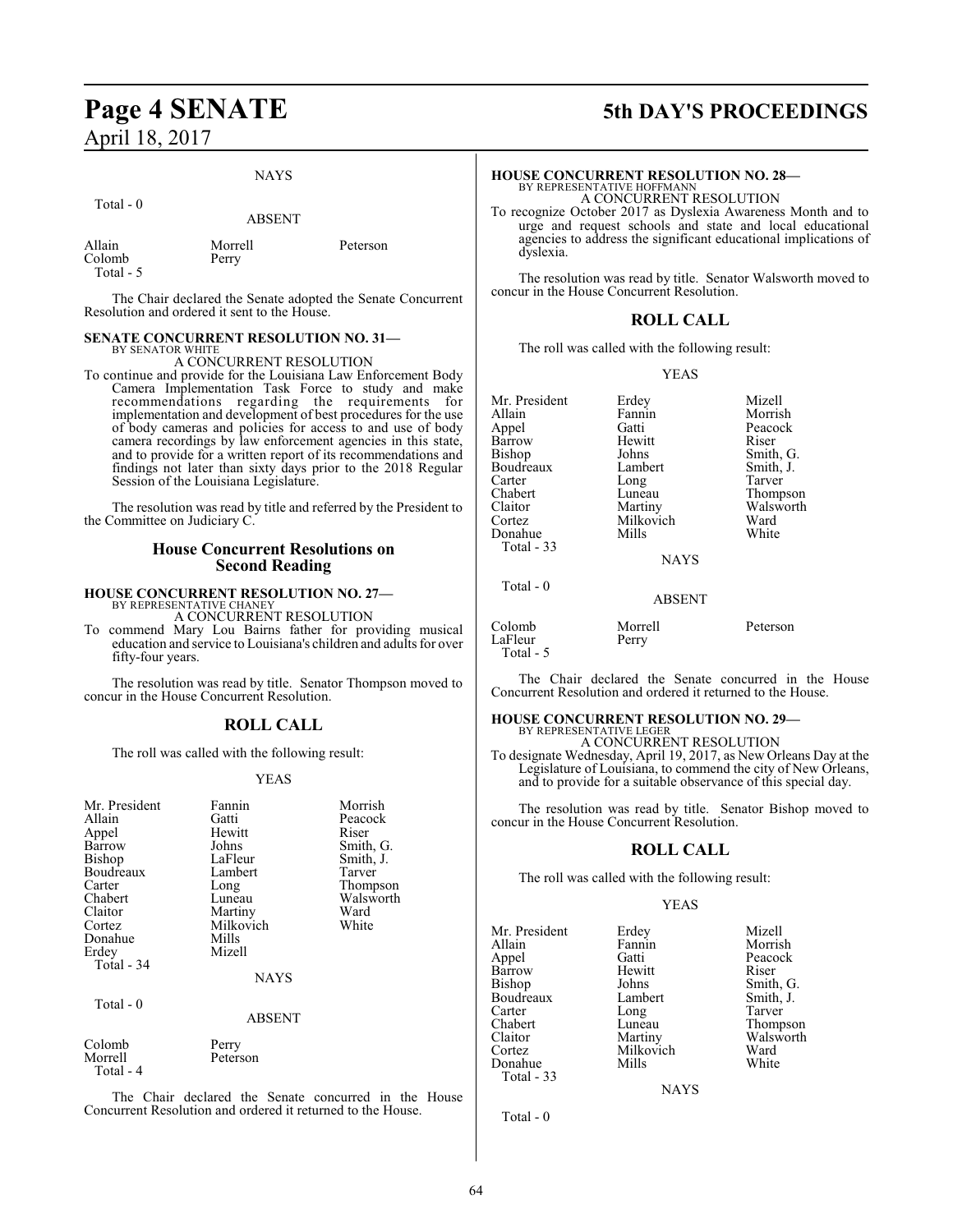## **Page 4 SENATE 5th DAY'S PROCEEDINGS** April 18, 2017

Total - 5

### **NAYS**

| Total $-0$       | <b>ABSENT</b>    |          |
|------------------|------------------|----------|
| Allain<br>Colomb | Morrell<br>Perry | Peterson |

The Chair declared the Senate adopted the Senate Concurrent Resolution and ordered it sent to the House.

### **SENATE CONCURRENT RESOLUTION NO. 31—** BY SENATOR WHITE

A CONCURRENT RESOLUTION

To continue and provide for the Louisiana Law Enforcement Body Camera Implementation Task Force to study and make recommendations regarding the requirements for implementation and development of best procedures for the use of body cameras and policies for access to and use of body camera recordings by law enforcement agencies in this state, and to provide for a written report of its recommendations and findings not later than sixty days prior to the 2018 Regular Session of the Louisiana Legislature.

The resolution was read by title and referred by the President to the Committee on Judiciary C.

### **House Concurrent Resolutions on Second Reading**

### **HOUSE CONCURRENT RESOLUTION NO. 27—**

BY REPRESENTATIVE CHANEY A CONCURRENT RESOLUTION

To commend Mary Lou Bairns father for providing musical education and service to Louisiana's children and adults for over fifty-four years.

The resolution was read by title. Senator Thompson moved to concur in the House Concurrent Resolution.

### **ROLL CALL**

The roll was called with the following result:

### YEAS

| Mr. President<br>Allain        | Fannin<br>Gatti   | Morrish<br>Peacock |
|--------------------------------|-------------------|--------------------|
| Appel                          | Hewitt            | Riser              |
| Barrow                         | Johns             | Smith, G.          |
| Bishop                         | LaFleur           | Smith, J.          |
| Boudreaux                      | Lambert           | Tarver             |
| Carter                         | Long              | Thompson           |
| Chabert                        | Luneau            | Walsworth          |
| Claitor                        | Martiny           | Ward               |
| Cortez                         | Milkovich         | White              |
| Donahue                        | Mills             |                    |
| Erdey                          | Mizell            |                    |
| Total - 34                     |                   |                    |
|                                | NAYS              |                    |
| Total - 0                      |                   |                    |
|                                | <b>ABSENT</b>     |                    |
| Colomb<br>Morrell<br>Total - 4 | Perry<br>Peterson |                    |

The Chair declared the Senate concurred in the House Concurrent Resolution and ordered it returned to the House.

### **HOUSE CONCURRENT RESOLUTION NO. 28—** BY REPRESENTATIVE HOFFMANN A CONCURRENT RESOLUTION

To recognize October 2017 as Dyslexia Awareness Month and to urge and request schools and state and local educational agencies to address the significant educational implications of dyslexia.

The resolution was read by title. Senator Walsworth moved to concur in the House Concurrent Resolution.

### **ROLL CALL**

The roll was called with the following result:

### YEAS

| Mr. President | Erdey       | Mizell    |
|---------------|-------------|-----------|
| Allain        | Fannin      | Morrish   |
| Appel         | Gatti       | Peacock   |
| Barrow        | Hewitt      | Riser     |
| Bishop        | Johns       | Smith, G. |
| Boudreaux     | Lambert     | Smith, J. |
| Carter        | Long        | Tarver    |
| Chabert       | Luneau      | Thompson  |
| Claitor       | Martiny     | Walsworth |
| Cortez        | Milkovich   | Ward      |
| Donahue       | Mills       | White     |
| Total - 33    |             |           |
|               | <b>NAYS</b> |           |
| Total $-0$    |             |           |
|               | ABSENT      |           |

### NAYS

### **BSENT**

| Colomb    | Morrell | Peterson |
|-----------|---------|----------|
| LaFleur   | Perry   |          |
| Total - 5 |         |          |

The Chair declared the Senate concurred in the House Concurrent Resolution and ordered it returned to the House.

#### **HOUSE CONCURRENT RESOLUTION NO. 29—** BY REPRESENTATIVE LEGER

A CONCURRENT RESOLUTION

To designate Wednesday, April 19, 2017, as New Orleans Day at the Legislature of Louisiana, to commend the city of New Orleans, and to provide for a suitable observance of this special day.

The resolution was read by title. Senator Bishop moved to concur in the House Concurrent Resolution.

### **ROLL CALL**

The roll was called with the following result:

### YEAS

| Mr. President | Erdey     | Mizell    |
|---------------|-----------|-----------|
| Allain        | Fannin    | Morrish   |
| Appel         | Gatti     | Peacock   |
| Barrow        | Hewitt    | Riser     |
| Bishop        | Johns     | Smith, G. |
| Boudreaux     | Lambert   | Smith, J. |
| Carter        | Long      | Tarver    |
| Chabert       | Luneau    | Thompson  |
| Claitor       | Martiny   | Walsworth |
| Cortez        | Milkovich | Ward      |
| Donahue       | Mills     | White     |
| Total - 33    |           |           |

**NAYS** 

Total - 0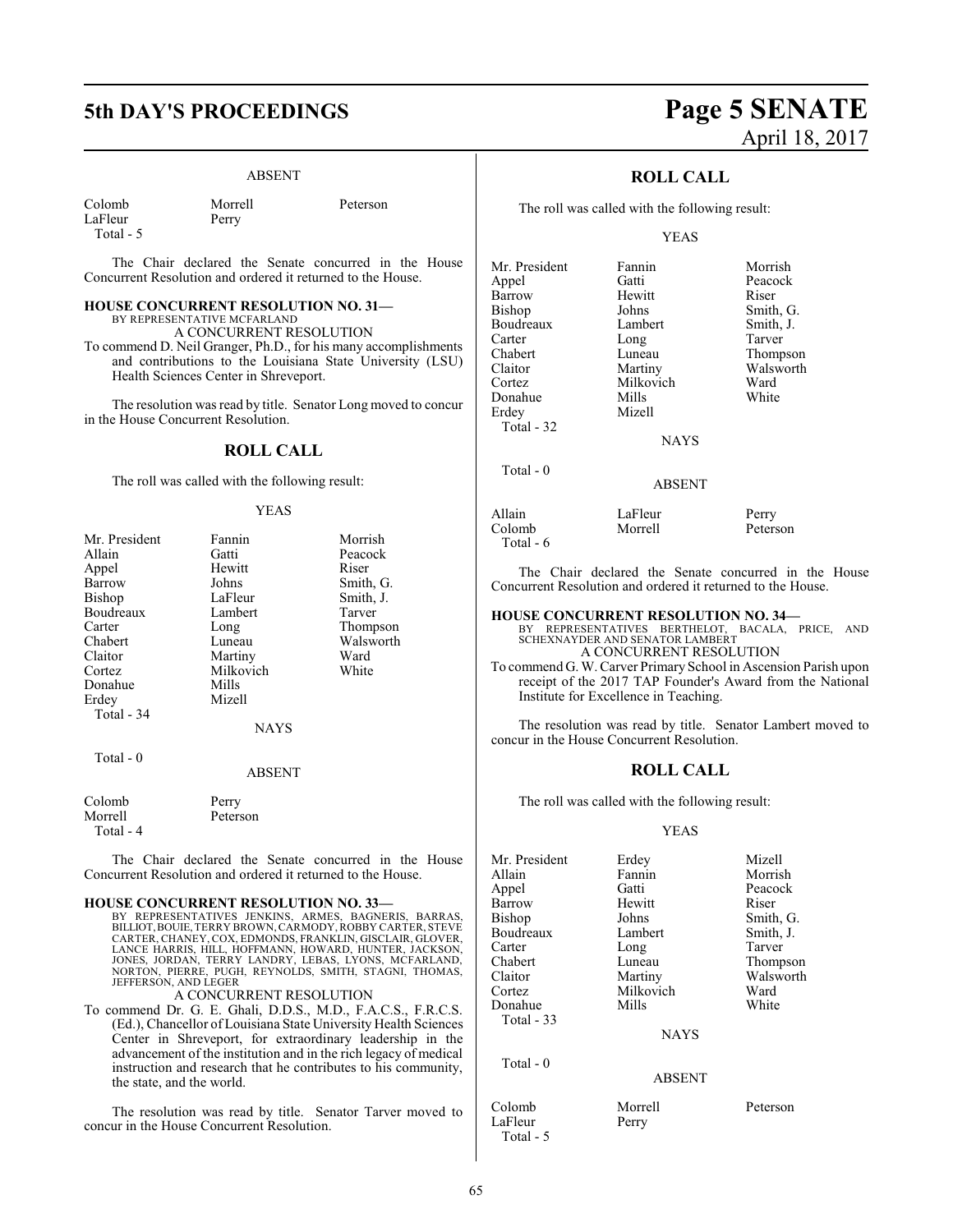## **5th DAY'S PROCEEDINGS Page 5 SENATE**

Perry

### ABSENT

| Colomb    |
|-----------|
| LaFleur   |
| Total - 5 |

Morrell Peterson

The Chair declared the Senate concurred in the House Concurrent Resolution and ordered it returned to the House.

### **HOUSE CONCURRENT RESOLUTION NO. 31—** BY REPRESENTATIVE MCFARLAND

A CONCURRENT RESOLUTION

To commend D. Neil Granger, Ph.D., for his many accomplishments and contributions to the Louisiana State University (LSU) Health Sciences Center in Shreveport.

The resolution was read by title. Senator Long moved to concur in the House Concurrent Resolution.

### **ROLL CALL**

The roll was called with the following result:

### YEAS

| Mr. President | Fannin    | Morrish   |
|---------------|-----------|-----------|
| Allain        | Gatti     | Peacock   |
| Appel         | Hewitt    | Riser     |
| Barrow        | Johns     | Smith, G. |
| Bishop        | LaFleur   | Smith, J. |
| Boudreaux     | Lambert   | Tarver    |
| Carter        | Long      | Thompson  |
| Chabert       | Luneau    | Walsworth |
| Claitor       | Martiny   | Ward      |
| Cortez        | Milkovich | White     |
| Donahue       | Mills     |           |
| Erdey         | Mizell    |           |
| Total - 34    |           |           |
|               | NAYS      |           |
| Total - 0     |           |           |
|               | ABSENT    |           |
| Colomb        | Perry     |           |
| Morrell       | Peterson  |           |
| Total - 4     |           |           |

The Chair declared the Senate concurred in the House Concurrent Resolution and ordered it returned to the House.

### **HOUSE CONCURRENT RESOLUTION NO. 33—**

BY REPRESENTATIVES JENKINS, ARMES, BAGNERIS, BARRAS, BILLIOT, BOUIE, TERRY BROWN, CARMODY, ROBBY CARTER, STEVE CARTER, CHANEY, COX, EDMONDS, FRANKLIN, GISCLAIR, GLOVER, LANCE HARRIS, HILL, HOFFMANN, HOWARD, HUNTER, JACKSON, JONES, JORDAN, TERRY LANDRY, LEBAS, LYONS, MCFARLAND, NORTON, PIERRE, PUGH, REYNOLDS, SMITH, STAGNI, THOMAS, JEFFERSON, AND LEGER

A CONCURRENT RESOLUTION

To commend Dr. G. E. Ghali, D.D.S., M.D., F.A.C.S., F.R.C.S. (Ed.), Chancellor of Louisiana State University Health Sciences Center in Shreveport, for extraordinary leadership in the advancement of the institution and in the rich legacy of medical instruction and research that he contributes to his community, the state, and the world.

The resolution was read by title. Senator Tarver moved to concur in the House Concurrent Resolution.

# April 18, 2017

### **ROLL CALL**

The roll was called with the following result:

### YEAS

| Mr. President | Fannin        | Morrish   |
|---------------|---------------|-----------|
| Appel         | Gatti         | Peacock   |
| Barrow        | Hewitt        | Riser     |
| <b>Bishop</b> | Johns         | Smith, G. |
| Boudreaux     | Lambert       | Smith, J. |
| Carter        | Long          | Tarver    |
| Chabert       | Luneau        | Thompson  |
| Claitor       | Martiny       | Walsworth |
| Cortez        | Milkovich     | Ward      |
| Donahue       | Mills         | White     |
| Erdey         | Mizell        |           |
| Total - 32    |               |           |
|               | <b>NAYS</b>   |           |
| Total - 0     |               |           |
|               | <b>ABSENT</b> |           |

Allain LaFleur Perry<br>Colomb Morrell Peters Peterson Total - 6

The Chair declared the Senate concurred in the House Concurrent Resolution and ordered it returned to the House.

### **HOUSE CONCURRENT RESOLUTION NO. 34—**

BY REPRESENTATIVES BERTHELOT, BACALA, PRICE, AND SCHEXNAYDER AND SENATOR LAMBERT A CONCURRENT RESOLUTION

To commend G. W. Carver Primary School in Ascension Parish upon receipt of the 2017 TAP Founder's Award from the National Institute for Excellence in Teaching.

The resolution was read by title. Senator Lambert moved to concur in the House Concurrent Resolution.

### **ROLL CALL**

The roll was called with the following result:

### YEAS

| Mr. President | Erdey         | Mizell    |
|---------------|---------------|-----------|
|               |               |           |
| Allain        | Fannin        | Morrish   |
| Appel         | Gatti         | Peacock   |
| Barrow        | Hewitt        | Riser     |
| Bishop        | Johns         | Smith, G. |
| Boudreaux     | Lambert       | Smith, J. |
| Carter        | Long          | Tarver    |
| Chabert       | Luneau        | Thompson  |
| Claitor       | Martiny       | Walsworth |
| Cortez        | Milkovich     | Ward      |
| Donahue       | Mills         | White     |
| Total $-33$   |               |           |
|               | <b>NAYS</b>   |           |
| Total $-0$    |               |           |
|               | <b>ABSENT</b> |           |
| Colomb        | Morrell       | Peterson  |

LaFleur Perry Total - 5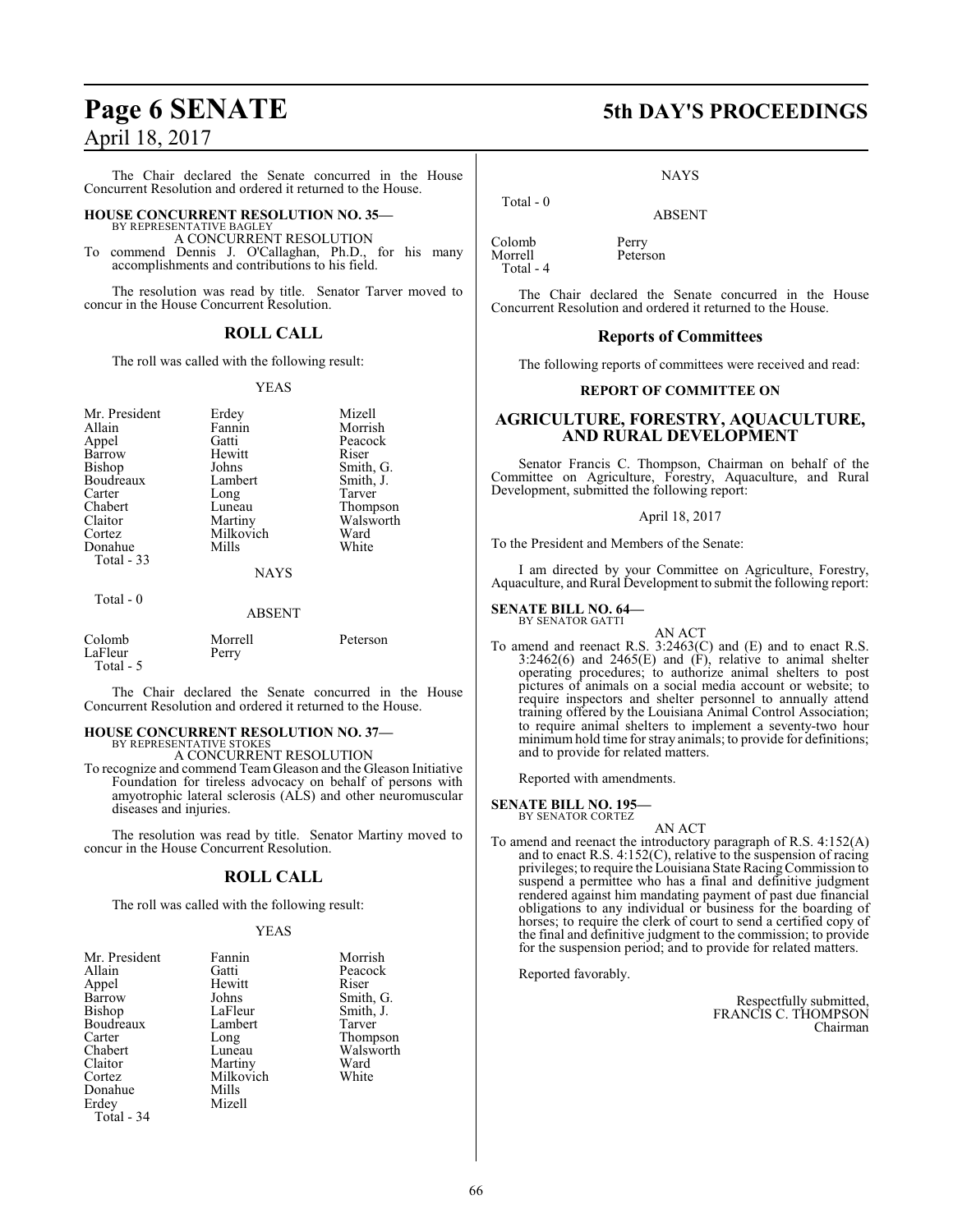The Chair declared the Senate concurred in the House Concurrent Resolution and ordered it returned to the House.

### **HOUSE CONCURRENT RESOLUTION NO. 35—**

BY REPRESENTATIVE BAGLEY A CONCURRENT RESOLUTION

To commend Dennis J. O'Callaghan, Ph.D., for his many accomplishments and contributions to his field.

The resolution was read by title. Senator Tarver moved to concur in the House Concurrent Resolution.

### **ROLL CALL**

The roll was called with the following result:

### YEAS

| Mr. President<br>Allain<br>Appel<br>Barrow<br>Bishop<br>Boudreaux<br>Carter<br>Chabert<br>Claitor<br>Cortez | Erdey<br>Fannin<br>Gatti<br>Hewitt<br>Johns<br>Lambert<br>Long<br>Luneau<br>Martiny<br>Milkovich | Mizell<br>Morrish<br>Peacock<br>Riser<br>Smith, G.<br>Smith, J.<br>Tarver<br>Thompson<br>Walsworth<br>Ward |
|-------------------------------------------------------------------------------------------------------------|--------------------------------------------------------------------------------------------------|------------------------------------------------------------------------------------------------------------|
| Donahue                                                                                                     | Mills                                                                                            | White                                                                                                      |
| <b>Total - 33</b>                                                                                           | <b>NAYS</b>                                                                                      |                                                                                                            |
| Total - 0                                                                                                   | <b>ABSENT</b>                                                                                    |                                                                                                            |

| Colomb    | Morrell | Peterson |
|-----------|---------|----------|
| LaFleur   | Perry   |          |
| Total - 5 |         |          |

The Chair declared the Senate concurred in the House Concurrent Resolution and ordered it returned to the House.

#### **HOUSE CONCURRENT RESOLUTION NO. 37—** BY REPRESENTATIVE STOKES

A CONCURRENT RESOLUTION

To recognize and commend TeamGleason and the Gleason Initiative Foundation for tireless advocacy on behalf of persons with amyotrophic lateral sclerosis (ALS) and other neuromuscular diseases and injuries.

The resolution was read by title. Senator Martiny moved to concur in the House Concurrent Resolution.

### **ROLL CALL**

The roll was called with the following result:

### YEAS

| Mr. President | Fannin    | Morrish   |
|---------------|-----------|-----------|
| Allain        | Gatti     | Peacock   |
| Appel         | Hewitt    | Riser     |
| Barrow        | Johns     | Smith, G. |
| Bishop        | LaFleur   | Smith, J. |
| Boudreaux     | Lambert   | Tarver    |
| Carter        | Long      | Thompson  |
| Chabert       | Luneau    | Walsworth |
| Claitor       | Martiny   | Ward      |
| Cortez        | Milkovich | White     |
| Donahue       | Mills     |           |
| Erdey         | Mizell    |           |
| Total - 34    |           |           |
|               |           |           |

### **Page 6 SENATE 5th DAY'S PROCEEDINGS**

NAYS

ABSENT

Colomb Perry<br>Morrell Peterson

Total - 0

Morrell Total - 4

The Chair declared the Senate concurred in the House Concurrent Resolution and ordered it returned to the House.

### **Reports of Committees**

The following reports of committees were received and read:

### **REPORT OF COMMITTEE ON**

### **AGRICULTURE, FORESTRY, AQUACULTURE, AND RURAL DEVELOPMENT**

Senator Francis C. Thompson, Chairman on behalf of the Committee on Agriculture, Forestry, Aquaculture, and Rural Development, submitted the following report:

### April 18, 2017

To the President and Members of the Senate:

I am directed by your Committee on Agriculture, Forestry, Aquaculture, and Rural Development to submit the following report:

#### **SENATE BILL NO. 64—** BY SENATOR GATTI

AN ACT

To amend and reenact R.S. 3:2463(C) and (E) and to enact R.S.  $3:2462(6)$  and  $2465(E)$  and  $(F)$ , relative to animal shelter operating procedures; to authorize animal shelters to post pictures of animals on a social media account or website; to require inspectors and shelter personnel to annually attend training offered by the Louisiana Animal Control Association; to require animal shelters to implement a seventy-two hour minimum hold time for stray animals; to provide for definitions; and to provide for related matters.

Reported with amendments.

#### **SENATE BILL NO. 195** BY SENATOR CORTEZ

AN ACT

To amend and reenact the introductory paragraph of R.S. 4:152(A) and to enact R.S. 4:152(C), relative to the suspension of racing privileges; to require the Louisiana State RacingCommission to suspend a permittee who has a final and definitive judgment rendered against him mandating payment of past due financial obligations to any individual or business for the boarding of horses; to require the clerk of court to send a certified copy of the final and definitive judgment to the commission; to provide for the suspension period; and to provide for related matters.

Reported favorably.

Respectfully submitted, FRANCIS C. THOMPSON Chairman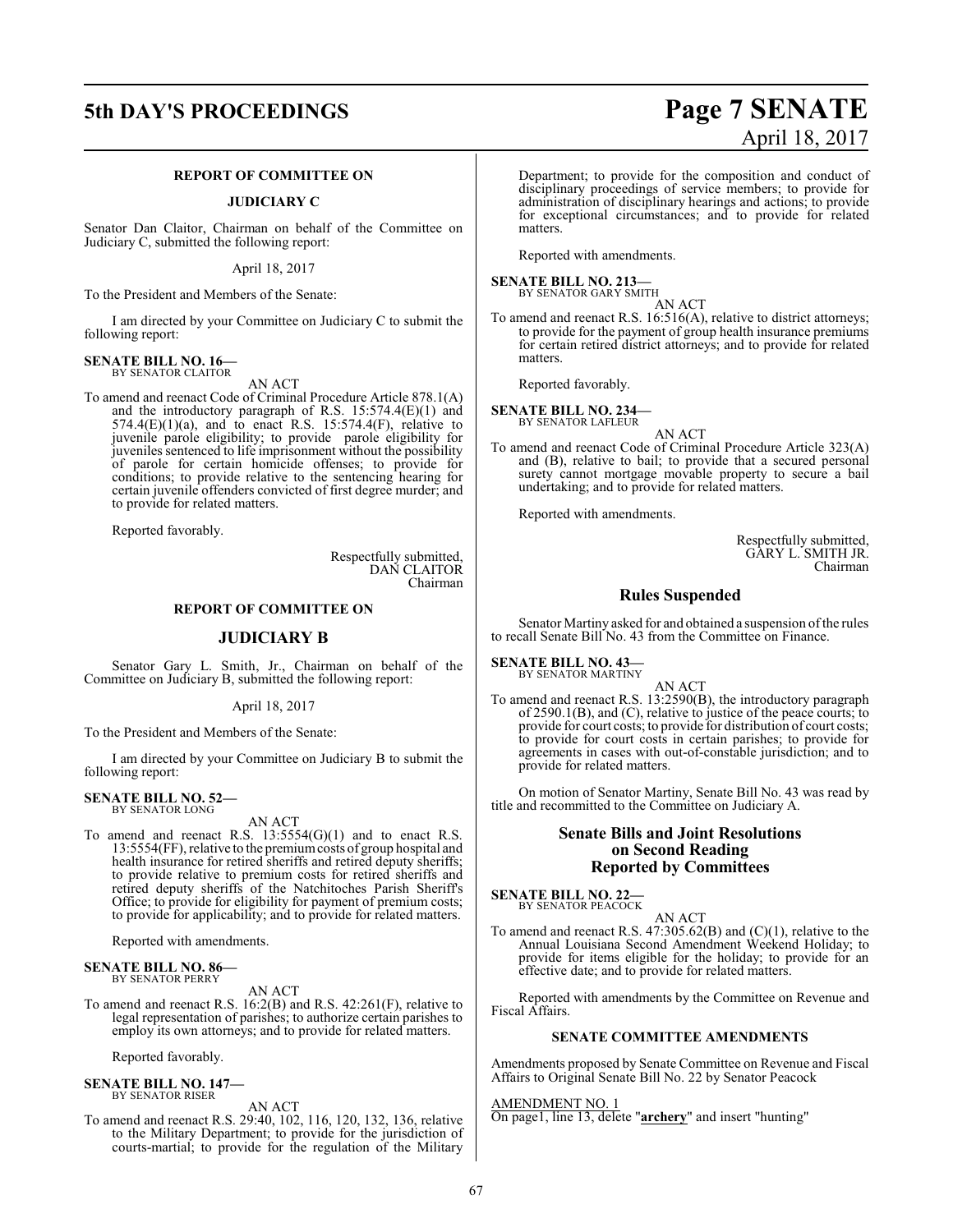## **5th DAY'S PROCEEDINGS Page 7 SENATE**

### **REPORT OF COMMITTEE ON**

### **JUDICIARY C**

Senator Dan Claitor, Chairman on behalf of the Committee on Judiciary C, submitted the following report:

April 18, 2017

To the President and Members of the Senate:

I am directed by your Committee on Judiciary C to submit the following report:

### **SENATE BILL NO. 16—** BY SENATOR CLAITOR

AN ACT

To amend and reenact Code of Criminal Procedure Article 878.1(A) and the introductory paragraph of R.S. 15:574.4(E)(1) and  $574.4(E)(1)(a)$ , and to enact R.S.  $15:574.4(F)$ , relative to juvenile parole eligibility; to provide parole eligibility for juveniles sentenced to life imprisonment without the possibility of parole for certain homicide offenses; to provide for conditions; to provide relative to the sentencing hearing for certain juvenile offenders convicted of first degree murder; and to provide for related matters.

Reported favorably.

Respectfully submitted, DAN CLAITOR Chairman

### **REPORT OF COMMITTEE ON**

### **JUDICIARY B**

Senator Gary L. Smith, Jr., Chairman on behalf of the Committee on Judiciary B, submitted the following report:

April 18, 2017

To the President and Members of the Senate:

I am directed by your Committee on Judiciary B to submit the following report:

#### **SENATE BILL NO. 52—** BY SENATOR LONG

AN ACT

To amend and reenact R.S.  $13:5554(G)(1)$  and to enact R.S. 13:5554(FF), relative to the premiumcosts of group hospital and health insurance for retired sheriffs and retired deputy sheriffs; to provide relative to premium costs for retired sheriffs and retired deputy sheriffs of the Natchitoches Parish Sheriff's Office; to provide for eligibility for payment of premium costs; to provide for applicability; and to provide for related matters.

Reported with amendments.

### **SENATE BILL NO. 86—** BY SENATOR PERRY

AN ACT

To amend and reenact R.S. 16:2(B) and R.S. 42:261(F), relative to legal representation of parishes; to authorize certain parishes to employ its own attorneys; and to provide for related matters.

Reported favorably.

### **SENATE BILL NO. 147—** BY SENATOR RISER

AN ACT

To amend and reenact R.S. 29:40, 102, 116, 120, 132, 136, relative to the Military Department; to provide for the jurisdiction of courts-martial; to provide for the regulation of the Military

# April 18, 2017

Department; to provide for the composition and conduct of disciplinary proceedings of service members; to provide for administration of disciplinary hearings and actions; to provide for exceptional circumstances; and to provide for related matters.

Reported with amendments.

**SENATE BILL NO. 213—**<br>BY SENATOR GARY SMITH

AN ACT

To amend and reenact R.S. 16:516(A), relative to district attorneys; to provide for the payment of group health insurance premiums for certain retired district attorneys; and to provide for related matters.

Reported favorably.

**SENATE BILL NO. 234—** BY SENATOR LAFLEUR

AN ACT

To amend and reenact Code of Criminal Procedure Article 323(A) and (B), relative to bail; to provide that a secured personal surety cannot mortgage movable property to secure a bail undertaking; and to provide for related matters.

Reported with amendments.

Respectfully submitted, GARY L. SMITH JR. Chairman

### **Rules Suspended**

Senator Martiny asked for and obtained a suspension of the rules to recall Senate Bill No. 43 from the Committee on Finance.

### **SENATE BILL NO. 43—**<br>BY SENATOR MARTINY

AN ACT

To amend and reenact R.S. 13:2590(B), the introductory paragraph of 2590.1(B), and (C), relative to justice of the peace courts; to provide for court costs; to provide for distribution of court costs; to provide for court costs in certain parishes; to provide for agreements in cases with out-of-constable jurisdiction; and to provide for related matters.

On motion of Senator Martiny, Senate Bill No. 43 was read by title and recommitted to the Committee on Judiciary A.

### **Senate Bills and Joint Resolutions on Second Reading Reported by Committees**

**SENATE BILL NO. 22—** BY SENATOR PEACOCK

AN ACT

To amend and reenact R.S. 47:305.62(B) and (C)(1), relative to the Annual Louisiana Second Amendment Weekend Holiday; to provide for items eligible for the holiday; to provide for an effective date; and to provide for related matters.

Reported with amendments by the Committee on Revenue and Fiscal Affairs.

### **SENATE COMMITTEE AMENDMENTS**

Amendments proposed by Senate Committee on Revenue and Fiscal Affairs to Original Senate Bill No. 22 by Senator Peacock

AMENDMENT NO. 1

On page1, line 13, delete "**archery**" and insert "hunting"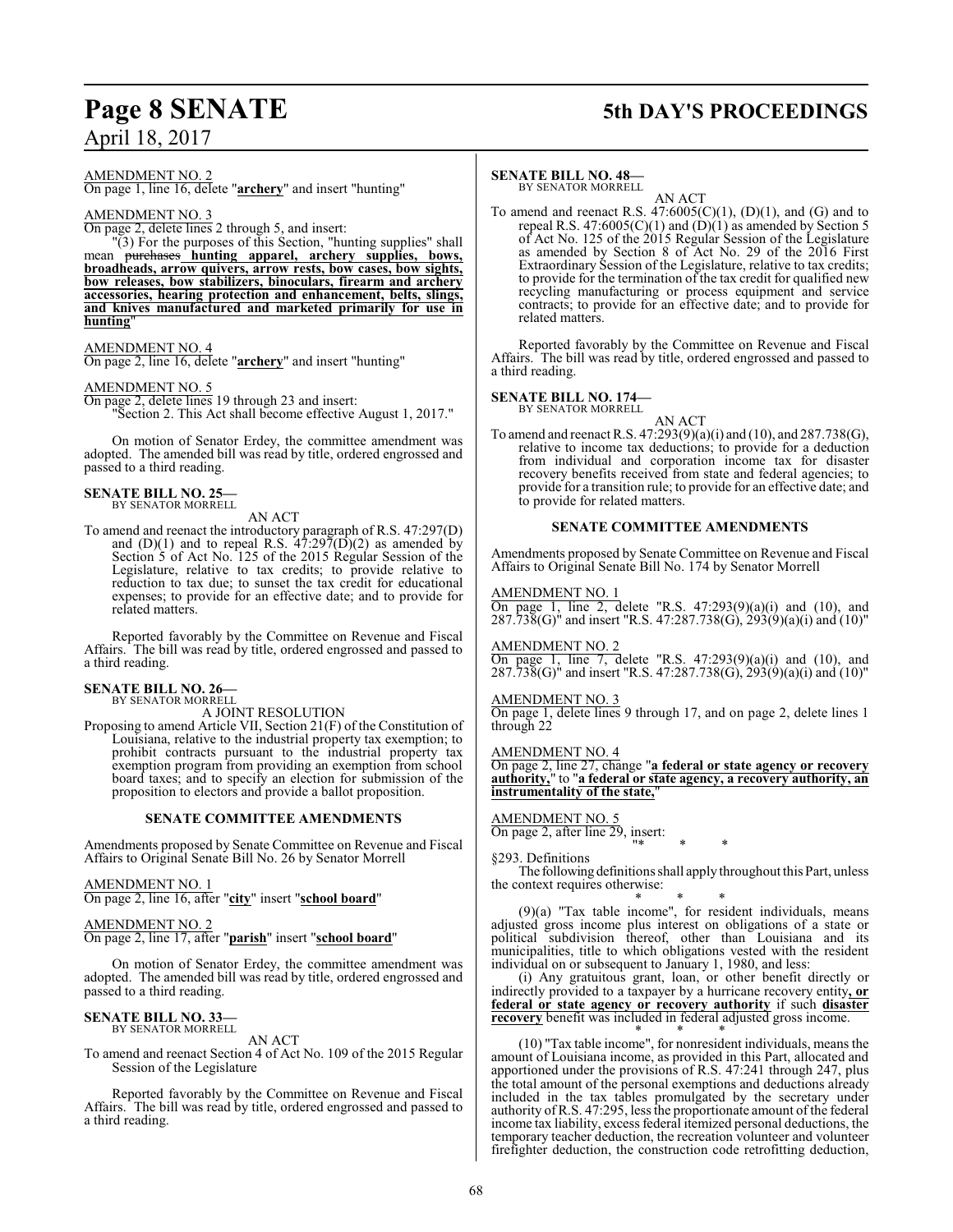## **Page 8 SENATE 5th DAY'S PROCEEDINGS**

AMENDMENT NO. 2

On page 1, line 16, delete "**archery**" and insert "hunting"

### AMENDMENT NO. 3

On page 2, delete lines 2 through 5, and insert:

 $\degree$ "(3) For the purposes of this Section, "hunting supplies" shall mean  $\degree$  surpressured. archery supplies. bows. mean purchases **hunting apparel, archery supplies, bows, broadheads, arrow quivers, arrow rests, bow cases, bow sights, bow releases, bow stabilizers, binoculars, firearm and archery accessories, hearing protection and enhancement, belts, slings, and knives manufactured and marketed primarily for use in hunting**"

### AMENDMENT NO. 4

On page 2, line 16, delete "**archery**" and insert "hunting"

### AMENDMENT NO. 5

On page 2, delete lines 19 through 23 and insert: "Section 2. This Act shall become effective August 1, 2017."

On motion of Senator Erdey, the committee amendment was adopted. The amended bill was read by title, ordered engrossed and passed to a third reading.

### **SENATE BILL NO. 25—** BY SENATOR MORRELL

### AN ACT

To amend and reenact the introductory paragraph of R.S. 47:297(D) and  $(D)(1)$  and to repeal R.S.  $47:297(D)(2)$  as amended by Section 5 of Act No. 125 of the 2015 Regular Session of the Legislature, relative to tax credits; to provide relative to reduction to tax due; to sunset the tax credit for educational expenses; to provide for an effective date; and to provide for related matters.

Reported favorably by the Committee on Revenue and Fiscal Affairs. The bill was read by title, ordered engrossed and passed to a third reading.

### **SENATE BILL NO. 26—** BY SENATOR MORRELL

A JOINT RESOLUTION

Proposing to amend Article VII, Section 21(F) of the Constitution of Louisiana, relative to the industrial property tax exemption; to prohibit contracts pursuant to the industrial property tax exemption program from providing an exemption from school board taxes; and to specify an election for submission of the proposition to electors and provide a ballot proposition.

### **SENATE COMMITTEE AMENDMENTS**

Amendments proposed by Senate Committee on Revenue and Fiscal Affairs to Original Senate Bill No. 26 by Senator Morrell

### AMENDMENT NO. 1

On page 2, line 16, after "**city**" insert "**school board**"

### AMENDMENT NO. 2

On page 2, line 17, after "**parish**" insert "**school board**"

On motion of Senator Erdey, the committee amendment was adopted. The amended bill was read by title, ordered engrossed and passed to a third reading.

### **SENATE BILL NO. 33—** BY SENATOR MORRELL

AN ACT

To amend and reenact Section 4 of Act No. 109 of the 2015 Regular Session of the Legislature

Reported favorably by the Committee on Revenue and Fiscal Affairs. The bill was read by title, ordered engrossed and passed to a third reading.

### **SENATE BILL NO. 48—**

BY SENATOR MORRELL AN ACT

To amend and reenact R.S.  $47:6005(C)(1)$ ,  $(D)(1)$ , and  $(G)$  and to repeal R.S. 47:6005(C)(1) and  $(D)(1)$  as amended by Section 5 of Act No. 125 of the 2015 Regular Session of the Legislature as amended by Section 8 of Act No. 29 of the 2016 First Extraordinary Session of the Legislature, relative to tax credits; to provide for the termination of the tax credit for qualified new recycling manufacturing or process equipment and service contracts; to provide for an effective date; and to provide for related matters.

Reported favorably by the Committee on Revenue and Fiscal Affairs. The bill was read by title, ordered engrossed and passed to a third reading.

### **SENATE BILL NO. 174—**

BY SENATOR MORRELL AN ACT

To amend and reenact R.S. 47:293(9)(a)(i) and (10), and 287.738(G), relative to income tax deductions; to provide for a deduction from individual and corporation income tax for disaster recovery benefits received from state and federal agencies; to provide for a transition rule; to provide for an effective date; and to provide for related matters.

### **SENATE COMMITTEE AMENDMENTS**

Amendments proposed by Senate Committee on Revenue and Fiscal Affairs to Original Senate Bill No. 174 by Senator Morrell

### AMENDMENT NO. 1

On page 1, line 2, delete "R.S.  $47:293(9)(a)(i)$  and  $(10)$ , and 287.738(G)" and insert "R.S. 47:287.738(G), 293(9)(a)(i) and (10)"

AMENDMENT NO. 2

On page 1, line 7, delete "R.S.  $47:293(9)(a)(i)$  and  $(10)$ , and  $287.73\delta(G)$ " and insert "R.S. 47:287.738(G),  $293(9)(a)(i)$  and  $(10)$ "

### AMENDMENT NO. 3

On page 1, delete lines 9 through 17, and on page 2, delete lines 1 through 22

### AMENDMENT NO. 4

On page 2, line 27, change "**a federal or state agency or recovery authority,**" to "**a federal or state agency, a recovery authority, an instrumentality of the state,** 

### AMENDMENT NO. 5

On page 2, after line 29, insert: "\* \* \*

§293. Definitions

The following definitions shall apply throughout this Part, unless the context requires otherwise:

\* \* \* (9)(a) "Tax table income", for resident individuals, means adjusted gross income plus interest on obligations of a state or political subdivision thereof, other than Louisiana and its municipalities, title to which obligations vested with the resident individual on or subsequent to January 1, 1980, and less:

(i) Any gratuitous grant, loan, or other benefit directly or indirectly provided to a taxpayer by a hurricane recovery entity**, or federal or state agency or recovery authority** if such **disaster recovery** benefit was included in federal adjusted gross income. \* \* \*

(10) "Tax table income", for nonresident individuals, means the amount of Louisiana income, as provided in this Part, allocated and apportioned under the provisions of R.S. 47:241 through 247, plus the total amount of the personal exemptions and deductions already included in the tax tables promulgated by the secretary under authority ofR.S. 47:295, less the proportionate amount of the federal income tax liability, excess federal itemized personal deductions, the temporary teacher deduction, the recreation volunteer and volunteer firefighter deduction, the construction code retrofitting deduction,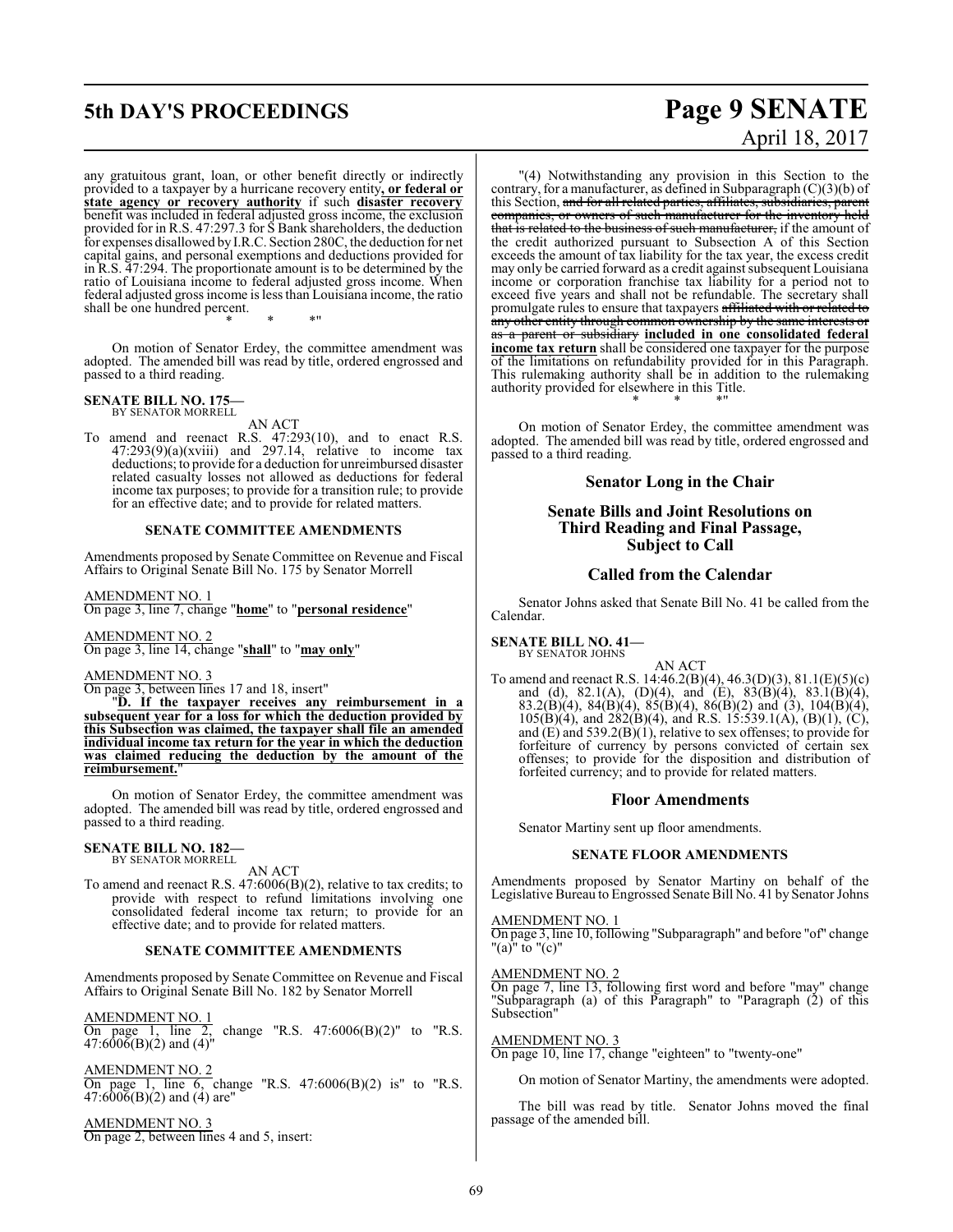# **5th DAY'S PROCEEDINGS Page 9 SENATE**

any gratuitous grant, loan, or other benefit directly or indirectly provided to a taxpayer by a hurricane recovery entity**, or federal or state agency or recovery authority** if such **disaster recovery** benefit was included in federal adjusted gross income, the exclusion provided for in R.S. 47:297.3 for S Bank shareholders, the deduction for expenses disallowed by I.R.C. Section 280C, the deduction for net capital gains, and personal exemptions and deductions provided for in R.S. 47:294. The proportionate amount is to be determined by the ratio of Louisiana income to federal adjusted gross income. When federal adjusted gross income is less than Louisiana income, the ratio shall be one hundred percent. \* \* \*"

On motion of Senator Erdey, the committee amendment was adopted. The amended bill was read by title, ordered engrossed and passed to a third reading.

### **SENATE BILL NO. 175—** BY SENATOR MORRELL

AN ACT To amend and reenact R.S. 47:293(10), and to enact R.S.  $47:293(9)(a)(xviii)$  and  $297.14$ , relative to income tax deductions; to provide for a deduction for unreimbursed disaster related casualty losses not allowed as deductions for federal income tax purposes; to provide for a transition rule; to provide for an effective date; and to provide for related matters.

### **SENATE COMMITTEE AMENDMENTS**

Amendments proposed by Senate Committee on Revenue and Fiscal Affairs to Original Senate Bill No. 175 by Senator Morrell

AMENDMENT NO. 1

On page 3, line 7, change "**home**" to "**personal residence**"

AMENDMENT NO. 2 On page 3, line 14, change "**shall**" to "**may only**"

### AMENDMENT NO. 3

On page 3, between lines 17 and 18, insert"

"**D. If the taxpayer receives any reimbursement in a subsequent year for a loss for which the deduction provided by this Subsection was claimed, the taxpayer shall file an amended individual income tax return for the year in which the deduction was claimed reducing the deduction by the amount of the reimbursement.**"

On motion of Senator Erdey, the committee amendment was adopted. The amended bill was read by title, ordered engrossed and passed to a third reading.

### **SENATE BILL NO. 182—** BY SENATOR MORRELL

AN ACT

To amend and reenact R.S. 47:6006(B)(2), relative to tax credits; to provide with respect to refund limitations involving one consolidated federal income tax return; to provide for an effective date; and to provide for related matters.

### **SENATE COMMITTEE AMENDMENTS**

Amendments proposed by Senate Committee on Revenue and Fiscal Affairs to Original Senate Bill No. 182 by Senator Morrell

AMENDMENT NO. 1 On page 1, line 2, change "R.S.  $47:6006(B)(2)$ " to "R.S. 47:6006(B)(2) and (4)"

AMENDMENT NO. 2

On page 1, line 6, change "R.S. 47:6006(B)(2) is" to "R.S. 47:6006(B)(2) and (4) are"

AMENDMENT NO. 3 On page 2, between lines 4 and 5, insert: April 18, 2017

"(4) Notwithstanding any provision in this Section to the contrary, for a manufacturer, as defined in Subparagraph  $(C)(3)(b)$  of this Section, and for all related parties, affiliates, subsidiaries, parent companies, or owners of such manufacturer for the inventory held that is related to the business of such manufacturer, if the amount of the credit authorized pursuant to Subsection A of this Section exceeds the amount of tax liability for the tax year, the excess credit may only be carried forward as a credit against subsequent Louisiana income or corporation franchise tax liability for a period not to exceed five years and shall not be refundable. The secretary shall promulgate rules to ensure that taxpayers affiliated with or related to any other entity through common ownership by the same interests or as a parent or subsidiary **included in one consolidated federal income tax return** shall be considered one taxpayer for the purpose of the limitations on refundability provided for in this Paragraph. This rulemaking authority shall be in addition to the rulemaking authority provided for elsewhere in this Title. \* \* \*"

On motion of Senator Erdey, the committee amendment was adopted. The amended bill was read by title, ordered engrossed and passed to a third reading.

### **Senator Long in the Chair**

### **Senate Bills and Joint Resolutions on Third Reading and Final Passage, Subject to Call**

### **Called from the Calendar**

Senator Johns asked that Senate Bill No. 41 be called from the Calendar.

**SENATE BILL NO. 41—** BY SENATOR JOHNS

AN ACT

To amend and reenact R.S. 14:46.2(B)(4), 46.3(D)(3), 81.1(E)(5)(c) and (d), 82.1(A), (D)(4), and (E), 83(B)(4), 83.1(B)(4), 83.2(B)(4), 84(B)(4), 85(B)(4), 86(B)(2) and (3), 104(B)(4),  $105(B)(4)$ , and  $282(B)(4)$ , and R.S. 15:539.1(A), (B)(1), (C), and (E) and 539.2(B)(1), relative to sex offenses; to provide for forfeiture of currency by persons convicted of certain sex offenses; to provide for the disposition and distribution of forfeited currency; and to provide for related matters.

### **Floor Amendments**

Senator Martiny sent up floor amendments.

### **SENATE FLOOR AMENDMENTS**

Amendments proposed by Senator Martiny on behalf of the Legislative Bureau to Engrossed Senate Bill No. 41 by Senator Johns

### AMENDMENT NO. 1

On page 3, line 10, following "Subparagraph" and before "of" change "(a)" to "(c)"

### AMENDMENT NO. 2

On page 7, line 13, following first word and before "may" change "Subparagraph (a) of this Paragraph" to "Paragraph (2) of this Subsection"

AMENDMENT NO. 3

On page 10, line 17, change "eighteen" to "twenty-one"

On motion of Senator Martiny, the amendments were adopted.

The bill was read by title. Senator Johns moved the final passage of the amended bill.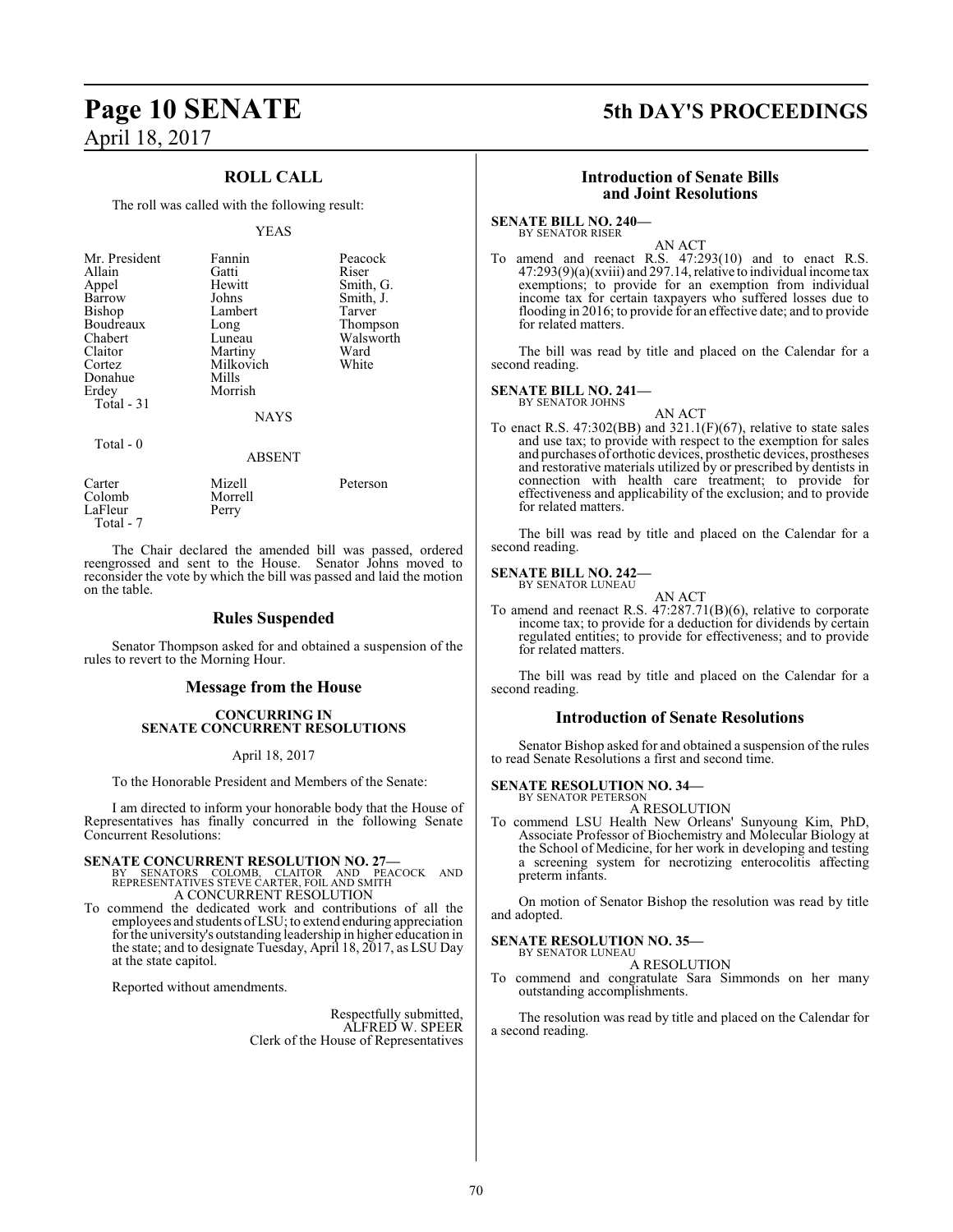## **Page 10 SENATE 5th DAY'S PROCEEDINGS** April 18, 2017

### **ROLL CALL**

The roll was called with the following result:

### YEAS

| Mr. President<br>Allain<br>Appel<br>Barrow<br>Bishop<br>Boudreaux<br>Chabert<br>Claitor<br>Cortez<br>Donahue<br>Erdey | Fannin<br>Gatti<br>Hewitt<br>Johns<br>Lambert<br>Long<br>Luneau<br>Martiny<br>Milkovich<br>Mills<br>Morrish | Peacock<br>Riser<br>Smith, G.<br>Smith, J.<br>Tarver<br>Thompson<br>Walsworth<br>Ward<br>White |
|-----------------------------------------------------------------------------------------------------------------------|-------------------------------------------------------------------------------------------------------------|------------------------------------------------------------------------------------------------|
| Total - 31                                                                                                            | <b>NAYS</b>                                                                                                 |                                                                                                |
| Total $-0$                                                                                                            | <b>ABSENT</b>                                                                                               |                                                                                                |

| Carter    | Mizell  | Peterson |
|-----------|---------|----------|
| Colomb    | Morrell |          |
| LaFleur   | Perry   |          |
| Total - 7 |         |          |

The Chair declared the amended bill was passed, ordered reengrossed and sent to the House. Senator Johns moved to reconsider the vote by which the bill was passed and laid the motion on the table.

### **Rules Suspended**

Senator Thompson asked for and obtained a suspension of the rules to revert to the Morning Hour.

### **Message from the House**

### **CONCURRING IN SENATE CONCURRENT RESOLUTIONS**

April 18, 2017

To the Honorable President and Members of the Senate:

I am directed to inform your honorable body that the House of Representatives has finally concurred in the following Senate Concurrent Resolutions:

**SENATE CONCURRENT RESOLUTION NO. 27—**<br>BY SENATORS COLOMB, CLAITOR AND PEACOCK AND<br>REPRESENTATIVES STEVE CARTER, FOIL AND SMITH A CONCURRENT RESOLUTION

To commend the dedicated work and contributions of all the employees and students ofLSU; to extend enduring appreciation for the university's outstanding leadership in higher education in the state; and to designate Tuesday, April 18, 2017, as LSU Day at the state capitol.

Reported without amendments.

Respectfully submitted, ALFRED W. SPEER Clerk of the House of Representatives

### **Introduction of Senate Bills and Joint Resolutions**

**SENATE BILL NO. 240—** BY SENATOR RISER

AN ACT

To amend and reenact R.S. 47:293(10) and to enact R.S.  $47:293(9)(a)(xviii)$  and  $297.14$ , relative to individual income tax exemptions; to provide for an exemption from individual income tax for certain taxpayers who suffered losses due to flooding in 2016; to provide for an effective date; and to provide for related matters.

The bill was read by title and placed on the Calendar for a second reading.

**SENATE BILL NO. 241—** BY SENATOR JOHNS

AN ACT

To enact R.S. 47:302(BB) and 321.1(F)(67), relative to state sales and use tax; to provide with respect to the exemption for sales and purchases of orthotic devices, prosthetic devices, prostheses and restorative materials utilized by or prescribed by dentists in connection with health care treatment; to provide for effectiveness and applicability of the exclusion; and to provide for related matters.

The bill was read by title and placed on the Calendar for a second reading.

### **SENATE BILL NO. 242—** BY SENATOR LUNEAU

AN ACT

To amend and reenact R.S. 47:287.71(B)(6), relative to corporate income tax; to provide for a deduction for dividends by certain regulated entities; to provide for effectiveness; and to provide for related matters.

The bill was read by title and placed on the Calendar for a second reading.

### **Introduction of Senate Resolutions**

Senator Bishop asked for and obtained a suspension of the rules to read Senate Resolutions a first and second time.

### **SENATE RESOLUTION NO. 34—** BY SENATOR PETERSON

A RESOLUTION

To commend LSU Health New Orleans' Sunyoung Kim, PhD, Associate Professor of Biochemistry and Molecular Biology at the School of Medicine, for her work in developing and testing a screening system for necrotizing enterocolitis affecting preterm infants.

On motion of Senator Bishop the resolution was read by title and adopted.

### **SENATE RESOLUTION NO. 35—**<br>BY SENATOR LUNEAU

A RESOLUTION

To commend and congratulate Sara Simmonds on her many outstanding accomplishments.

The resolution was read by title and placed on the Calendar for a second reading.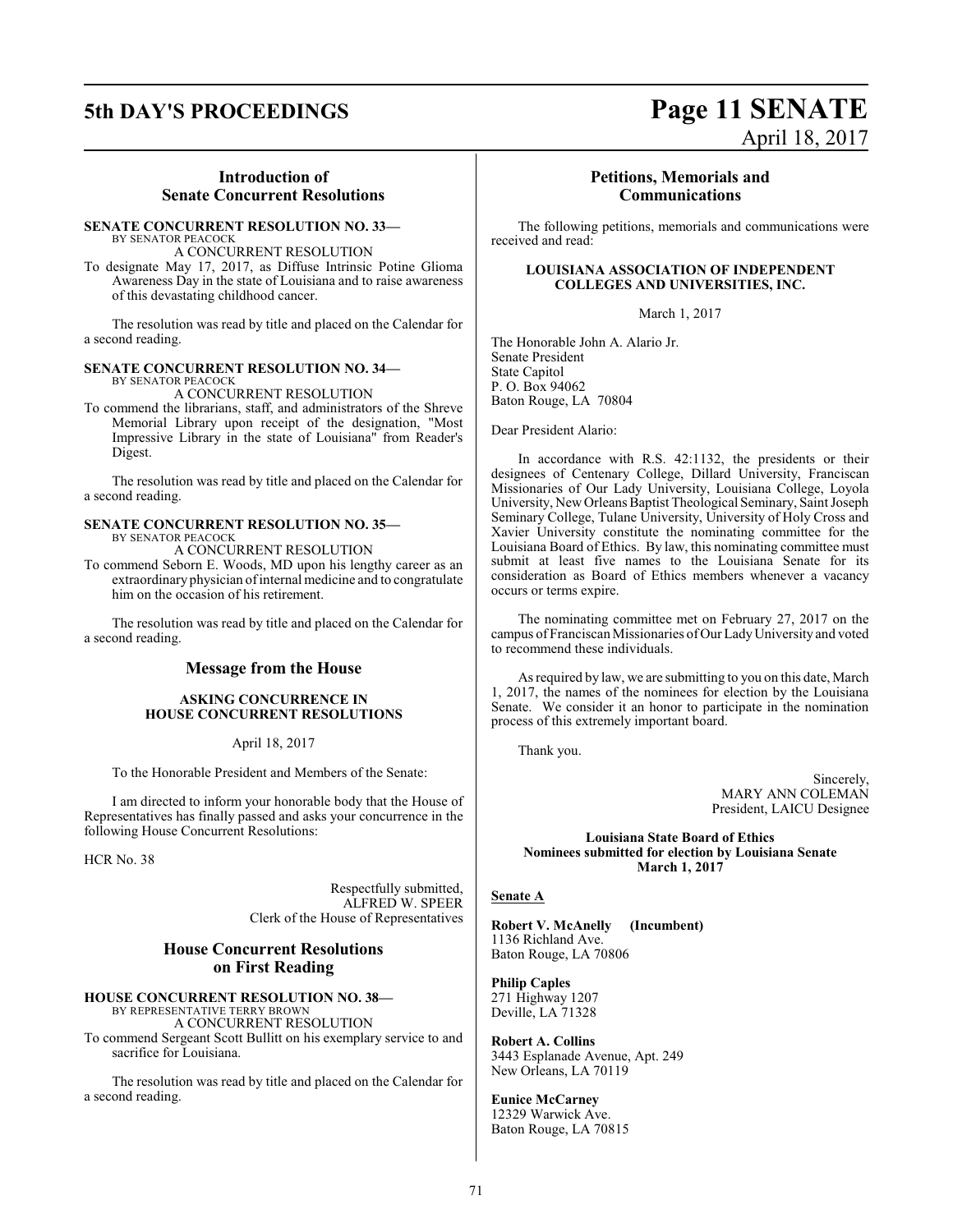## **5th DAY'S PROCEEDINGS Page 11 SENATE**

### **Introduction of Senate Concurrent Resolutions**

### **SENATE CONCURRENT RESOLUTION NO. 33—** BY SENATOR PEACOCK

A CONCURRENT RESOLUTION

To designate May 17, 2017, as Diffuse Intrinsic Potine Glioma Awareness Day in the state of Louisiana and to raise awareness of this devastating childhood cancer.

The resolution was read by title and placed on the Calendar for a second reading.

### **SENATE CONCURRENT RESOLUTION NO. 34—** BY SENATOR PEACOCK

A CONCURRENT RESOLUTION

To commend the librarians, staff, and administrators of the Shreve Memorial Library upon receipt of the designation, "Most Impressive Library in the state of Louisiana" from Reader's Digest.

The resolution was read by title and placed on the Calendar for a second reading.

### **SENATE CONCURRENT RESOLUTION NO. 35—** BY SENATOR PEACOCK

A CONCURRENT RESOLUTION

To commend Seborn E. Woods, MD upon his lengthy career as an extraordinary physician of internal medicine and to congratulate him on the occasion of his retirement.

The resolution was read by title and placed on the Calendar for a second reading.

### **Message from the House**

### **ASKING CONCURRENCE IN HOUSE CONCURRENT RESOLUTIONS**

April 18, 2017

To the Honorable President and Members of the Senate:

I am directed to inform your honorable body that the House of Representatives has finally passed and asks your concurrence in the following House Concurrent Resolutions:

HCR No. 38

Respectfully submitted, ALFRED W. SPEER Clerk of the House of Representatives

### **House Concurrent Resolutions on First Reading**

### **HOUSE CONCURRENT RESOLUTION NO. 38—**

BY REPRESENTATIVE TERRY BROWN A CONCURRENT RESOLUTION To commend Sergeant Scott Bullitt on his exemplary service to and sacrifice for Louisiana.

The resolution was read by title and placed on the Calendar for a second reading.

### **Petitions, Memorials and Communications**

April 18, 2017

The following petitions, memorials and communications were received and read:

### **LOUISIANA ASSOCIATION OF INDEPENDENT COLLEGES AND UNIVERSITIES, INC.**

March 1, 2017

The Honorable John A. Alario Jr. Senate President State Capitol P. O. Box 94062 Baton Rouge, LA 70804

Dear President Alario:

In accordance with R.S. 42:1132, the presidents or their designees of Centenary College, Dillard University, Franciscan Missionaries of Our Lady University, Louisiana College, Loyola University, NewOrleans Baptist Theological Seminary, Saint Joseph Seminary College, Tulane University, University of Holy Cross and Xavier University constitute the nominating committee for the Louisiana Board of Ethics. By law, this nominating committee must submit at least five names to the Louisiana Senate for its consideration as Board of Ethics members whenever a vacancy occurs or terms expire.

The nominating committee met on February 27, 2017 on the campus of Franciscan Missionaries ofOur LadyUniversityand voted to recommend these individuals.

As required by law, we are submitting to you on this date, March 1, 2017, the names of the nominees for election by the Louisiana Senate. We consider it an honor to participate in the nomination process of this extremely important board.

Thank you.

Sincerely, MARY ANN COLEMAN President, LAICU Designee

**Louisiana State Board of Ethics Nominees submitted for election by Louisiana Senate March 1, 2017**

### **Senate A**

**Robert V. McAnelly (Incumbent)** 1136 Richland Ave. Baton Rouge, LA 70806

**Philip Caples** 271 Highway 1207 Deville, LA 71328

**Robert A. Collins** 3443 Esplanade Avenue, Apt. 249 New Orleans, LA 70119

**Eunice McCarney** 12329 Warwick Ave. Baton Rouge, LA 70815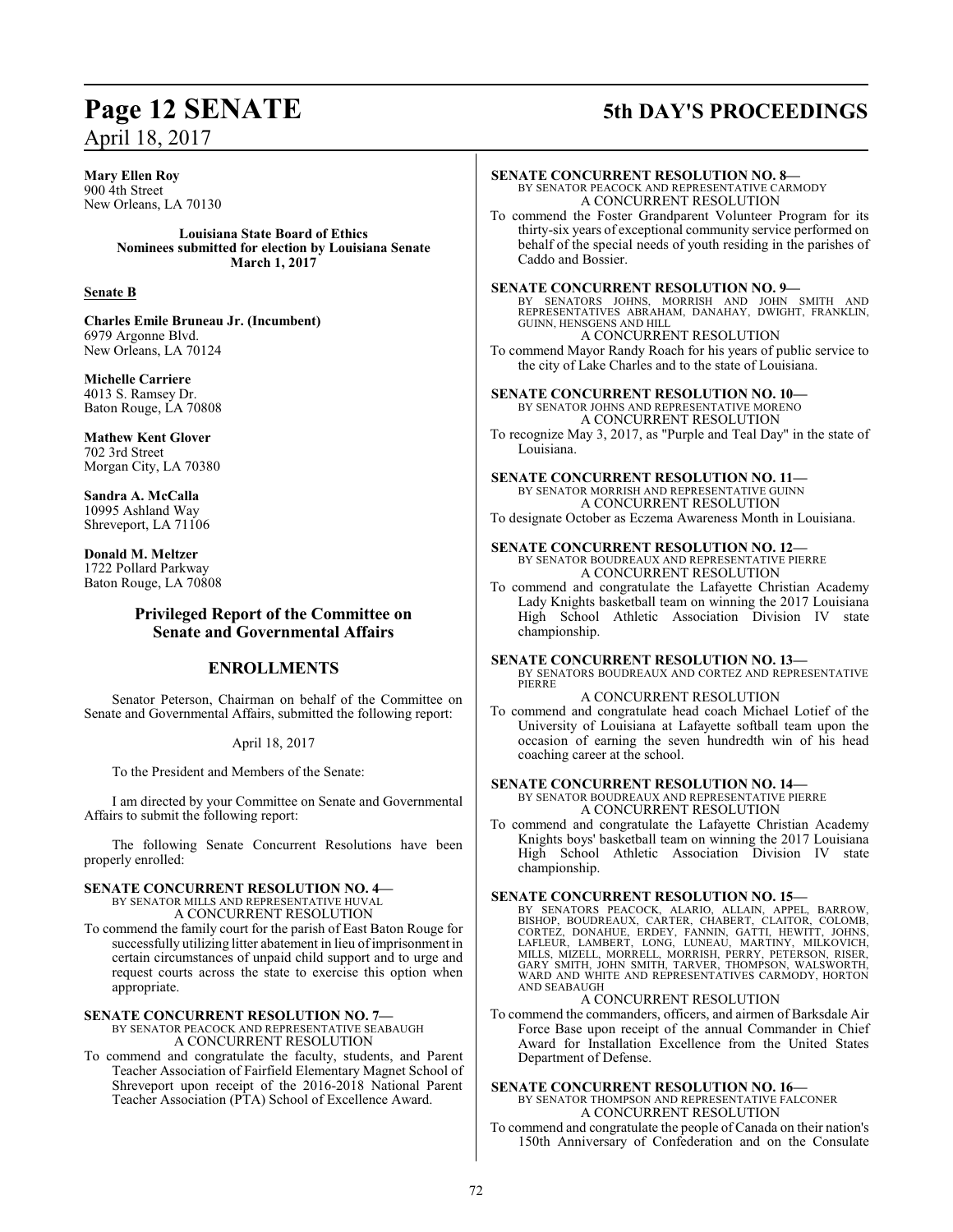## **Page 12 SENATE 5th DAY'S PROCEEDINGS**

**Mary Ellen Roy** 900 4th Street New Orleans, LA 70130 **Louisiana State Board of Ethics Nominees submitted for election by Louisiana Senate March 1, 2017 Senate B Charles Emile Bruneau Jr. (Incumbent)** 6979 Argonne Blvd. New Orleans, LA 70124 **Michelle Carriere** 4013 S. Ramsey Dr. Baton Rouge, LA 70808 **Mathew Kent Glover** 702 3rd Street Morgan City, LA 70380 **Sandra A. McCalla** 10995 Ashland Way Shreveport, LA 71106 **Donald M. Meltzer** 1722 Pollard Parkway Baton Rouge, LA 70808 **Privileged Report of the Committee on Senate and Governmental Affairs ENROLLMENTS** Senator Peterson, Chairman on behalf of the Committee on Senate and Governmental Affairs, submitted the following report: April 18, 2017 To the President and Members of the Senate: I am directed by your Committee on Senate and Governmental Affairs to submit the following report: The following Senate Concurrent Resolutions have been properly enrolled: **SENATE CONCURRENT RESOLUTION NO. 4—** BY SENATOR MILLS AND REPRESENTATIVE HUVAL A CONCURRENT RESOLUTION To commend the family court for the parish of East Baton Rouge for successfully utilizing litter abatement in lieu of imprisonment in certain circumstances of unpaid child support and to urge and request courts across the state to exercise this option when appropriate. **SENATE CONCURRENT RESOLUTION NO. 7—** BY SENATOR PEACOCK AND REPRESENTATIVE SEABAUGH A CONCURRENT RESOLUTION To commend and congratulate the faculty, students, and Parent Teacher Association of Fairfield Elementary Magnet School of Shreveport upon receipt of the 2016-2018 National Parent Teacher Association (PTA) School of Excellence Award. **SENATE CONCURRENT RESOLUTION NO. 8—** BY SENATOR PEACOCK AND REPRESENTATIVE CARMODY A CONCURRENT RESOLUTION To commend the Foster Grandparent Volunteer Program for its thirty-six years of exceptional community service performed on behalf of the special needs of youth residing in the parishes of Caddo and Bossier. **SENATE CONCURRENT RESOLUTION NO. 9—** BY SENATORS JOHNS, MORRISH AND JOHN SMITH AND<br>REPRESENTATIVES ABRAHAM, DANAHAY, DWIGHT, FRANKLIN,<br>GUINN,HENSGENSANDHILL A CONCURRENT RESOLUTION To commend Mayor Randy Roach for his years of public service to the city of Lake Charles and to the state of Louisiana. **SENATE CONCURRENT RESOLUTION NO. 10—** BY SENATOR JOHNS AND REPRESENTATIVE MORENO A CONCURRENT RESOLUTION To recognize May 3, 2017, as "Purple and Teal Day" in the state of Louisiana. **SENATE CONCURRENT RESOLUTION NO. 11—** BY SENATOR MORRISH AND REPRESENTATIVE GUINN A CONCURRENT RESOLUTION To designate October as Eczema Awareness Month in Louisiana. **SENATE CONCURRENT RESOLUTION NO. 12—** BY SENATOR BOUDREAUX AND REPRESENTATIVE PIERRE A CONCURRENT RESOLUTION To commend and congratulate the Lafayette Christian Academy Lady Knights basketball team on winning the 2017 Louisiana High School Athletic Association Division IV state championship. **SENATE CONCURRENT RESOLUTION NO. 13—** BY SENATORS BOUDREAUX AND CORTEZ AND REPRESENTATIVE PIERRE A CONCURRENT RESOLUTION To commend and congratulate head coach Michael Lotief of the University of Louisiana at Lafayette softball team upon the occasion of earning the seven hundredth win of his head coaching career at the school. **SENATE CONCURRENT RESOLUTION NO. 14—** BY SENATOR BOUDREAUX AND REPRESENTATIVE PIERRE A CONCURRENT RESOLUTION To commend and congratulate the Lafayette Christian Academy Knights boys' basketball team on winning the 2017 Louisiana High School Athletic Association Division IV state championship. **SENATE CONCURRENT RESOLUTION NO. 15—** BY SENATORS PEACOCK, ALARIO, ALLAIN, APPEL, BARROW,<br>BISHOP, BOUDREAUX, CARTER, CHABERT, CLAITOR, COLOMB,<br>CORTEZ, DONAHUE, ERDEY, FANNIN, GATTI, HEWITT, JOHNS,<br>LAFLEUR, LAMBERT, LONG, LUNEAU, MARTINY, MILKOVICH,<br>MILLS, MIZE WARD AND WHITE AND REPRESENTATIVES CARMODY, HORTON AND SEABAUGH A CONCURRENT RESOLUTION To commend the commanders, officers, and airmen of Barksdale Air Force Base upon receipt of the annual Commander in Chief Award for Installation Excellence from the United States Department of Defense. **SENATE CONCURRENT RESOLUTION NO. 16—** BY SENATOR THOMPSON AND REPRESENTATIVE FALCONER A CONCURRENT RESOLUTION To commend and congratulate the people of Canada on their nation's 150th Anniversary of Confederation and on the Consulate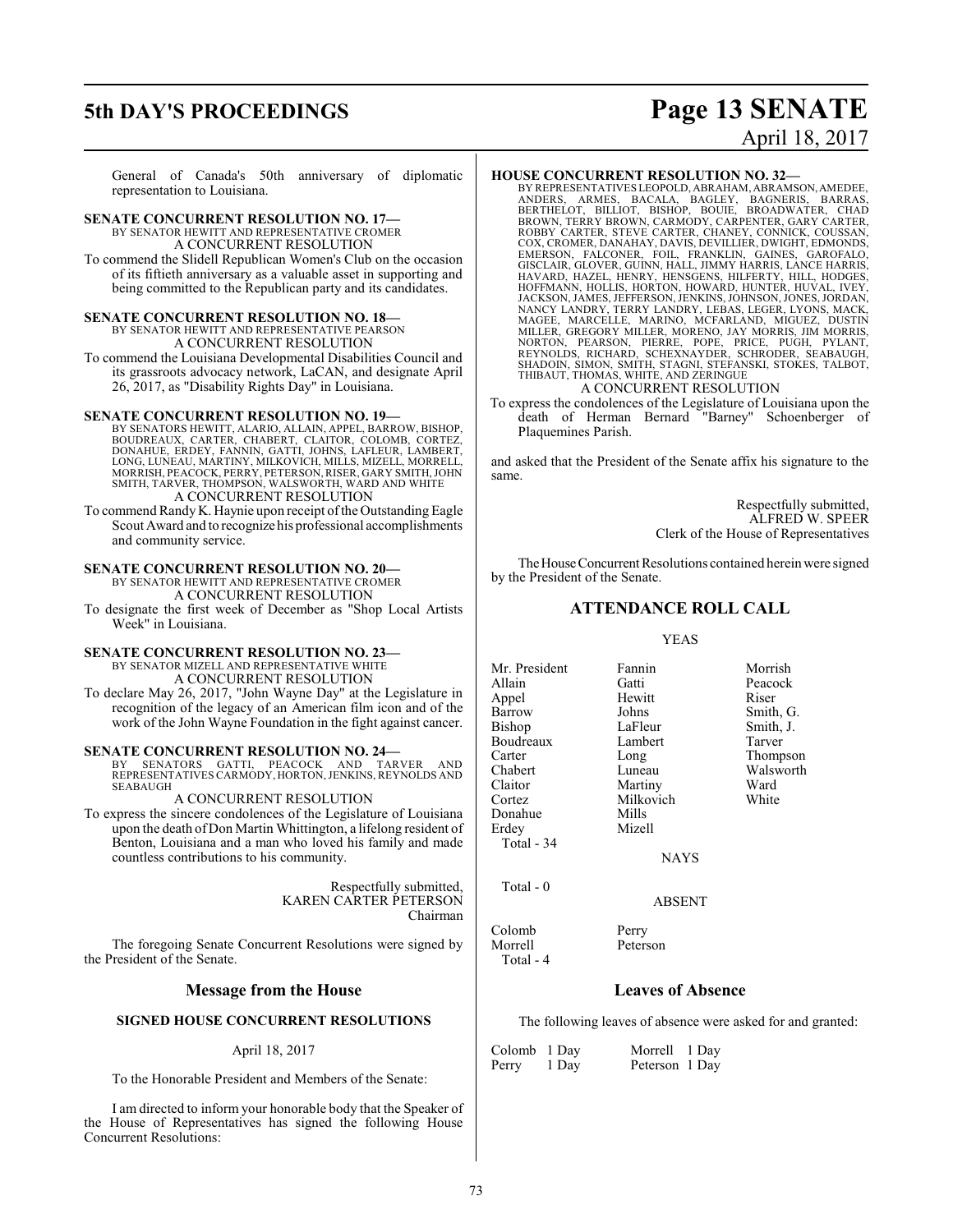### **5th DAY'S PROCEEDINGS Page 13 SENATE** April 18, 2017

General of Canada's 50th anniversary of diplomatic representation to Louisiana.

**SENATE CONCURRENT RESOLUTION NO. 17—** BY SENATOR HEWITT AND REPRESENTATIVE CROMER A CONCURRENT RESOLUTION To commend the Slidell Republican Women's Club on the occasion of its fiftieth anniversary as a valuable asset in supporting and being committed to the Republican party and its candidates.

### **SENATE CONCURRENT RESOLUTION NO. 18—** BY SENATOR HEWITT AND REPRESENTATIVE PEARSON

A CONCURRENT RESOLUTION To commend the Louisiana Developmental Disabilities Council and its grassroots advocacy network, LaCAN, and designate April

26, 2017, as "Disability Rights Day" in Louisiana.

### **SENATE CONCURRENT RESOLUTION NO. 19—**

BY SENATORS HEWITT, ALARIO, ALLAIN, APPEL, BARROW, BISHOP, BOUDREAUX, CARTER, CHABERT, CLAITOR, COLOMB, CORTEZ, DONAHUE, ERDEY, FANNIN, GATTI, JOHNS, LAFLEUR, LAMBERT,<br>LONG, LUNEAU, MARTINY, MILKOVICH, MILLS, MIZELL, MORRELL,<br>MORRISH, PEACOCK, PERRY, PETERSON, RISER, GARY SMITH, JOHN SMITH, TARVER, THOMPSON, WALSWORTH, WARD AND WHITE A CONCURRENT RESOLUTION

To commend Randy K. Haynie upon receipt ofthe Outstanding Eagle Scout Award and to recognize his professional accomplishments and community service.

### **SENATE CONCURRENT RESOLUTION NO. 20—**

BY SENATOR HEWITT AND REPRESENTATIVE CROMER A CONCURRENT RESOLUTION

To designate the first week of December as "Shop Local Artists Week" in Louisiana.

### **SENATE CONCURRENT RESOLUTION NO. 23—**

BY SENATOR MIZELL AND REPRESENTATIVE WHITE A CONCURRENT RESOLUTION

To declare May 26, 2017, "John Wayne Day" at the Legislature in recognition of the legacy of an American film icon and of the work of the John Wayne Foundation in the fight against cancer.

### **SENATE CONCURRENT RESOLUTION NO. 24—**

BY SENATORS GATTI, PEACOCK AND TARVER AND REPRESENTATIVES CARMODY, HORTON,JENKINS, REYNOLDS AND SEABAUGH

### A CONCURRENT RESOLUTION

To express the sincere condolences of the Legislature of Louisiana upon the death of Don Martin Whittington, a lifelong resident of Benton, Louisiana and a man who loved his family and made countless contributions to his community.

> Respectfully submitted, KAREN CARTER PETERSON Chairman

The foregoing Senate Concurrent Resolutions were signed by the President of the Senate.

### **Message from the House**

### **SIGNED HOUSE CONCURRENT RESOLUTIONS**

### April 18, 2017

To the Honorable President and Members of the Senate:

I am directed to inform your honorable body that the Speaker of the House of Representatives has signed the following House Concurrent Resolutions:

### **HOUSE CONCURRENT RESOLUTION NO. 32—**

BY REPRESENTATIVES LEOPOLD, ABRAHAM, ABRAMSON,AMEDEE, ANDERS, ARMES, BACALA, BAGLEY, BAGNERIS, BARRAS,<br>BERTHELOT, BILLIOT, BISHOP, BOUIE, BROADWATER, CHAD<br>BROWN,TERRY BROWN,CARMODY,CARPENTER,GARY CARTER,<br>ROBBY CARTER, STEVE CARTER,CHANEY,CONNICK,COUSSAN,<br>COX,CROMER,DANAHAY,DA HOFFMANN, HOLLIS, HORTON, HOWARD, HUNTER, HUVAL, IVEY,<br>JACKSON, JAMES, JEFFERSON, JENKINS, JOHNSON, JONES, JORDAN,<br>NANCY LANDRY, TERRY LANDRY, LEBAS, LEGER, LYONS, MACK,<br>MAGEE, MARCELLE, MARINO, MCFARLAND, MIGUEZ, DUSTIN<br>M SHADOIN, SIMON, SMITH, STAGNI, STEFANSKI, STOKES, TALBOT, THIBAUT, THOMAS, WHITE, AND ZERINGUE

### A CONCURRENT RESOLUTION

To express the condolences of the Legislature of Louisiana upon the death of Herman Bernard "Barney" Schoenberger of Plaquemines Parish.

and asked that the President of the Senate affix his signature to the same.

> Respectfully submitted, ALFRED W. SPEER Clerk of the House of Representatives

The House Concurrent Resolutions contained herein were signed by the President of the Senate.

### **ATTENDANCE ROLL CALL**

### YEAS

Mr. President Fannin Morrish<br>Allain Gatti Peacock Allain Gatti Peacock<br>
Appel Hewitt Riser Appel Hewitt<br>Barrow Johns Barrow Johns Smith, G.<br>Bishop LaFleur Smith, J. Boudreaux Lamb<br>Carter Long Carter Long Thompson<br>Chabert Luneau Walsworth Chabert Luneau Walsworth Cortez Milkovich White Donahue<br>Erdey Total - 34

LaFleur Smith, J.<br>Lambert Tarver Martiny Mizell

NAYS

ABSENT

Total - 0

Colomb Perry<br>Morrell Peters Total - 4

Peterson

**Leaves of Absence**

The following leaves of absence were asked for and granted:

| Colomb 1 Day |       | Morrell 1 Day  |  |
|--------------|-------|----------------|--|
| Perry        | 1 Day | Peterson 1 Day |  |